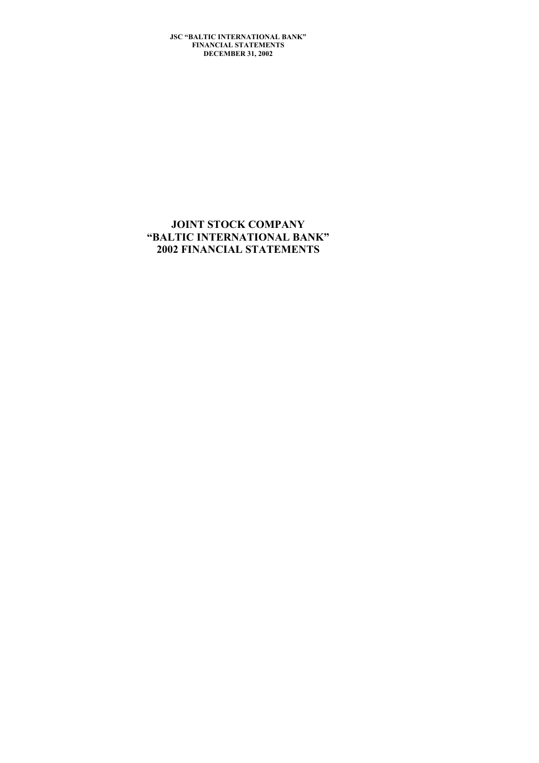# **JOINT STOCK COMPANY "BALTIC INTERNATIONAL BANK" 2002 FINANCIAL STATEMENTS**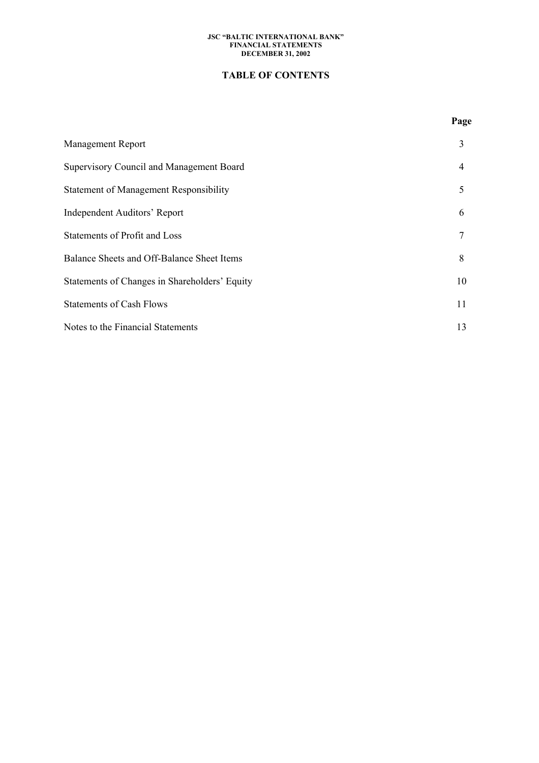# **TABLE OF CONTENTS**

# Management Report 3 Supervisory Council and Management Board 4 Statement of Management Responsibility 5 Independent Auditors' Report 6 Statements of Profit and Loss 7 Balance Sheets and Off-Balance Sheet Items 8 Statements of Changes in Shareholders' Equity 10 Statements of Cash Flows 11 Notes to the Financial Statements 13

### **Page**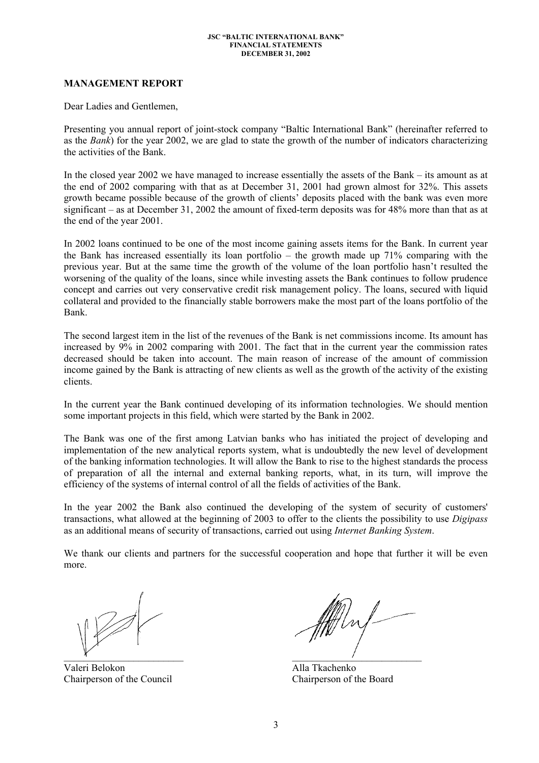### **MANAGEMENT REPORT**

Dear Ladies and Gentlemen,

Presenting you annual report of joint-stock company "Baltic International Bank" (hereinafter referred to as the *Bank*) for the year 2002, we are glad to state the growth of the number of indicators characterizing the activities of the Bank.

In the closed year 2002 we have managed to increase essentially the assets of the Bank – its amount as at the end of 2002 comparing with that as at December 31, 2001 had grown almost for 32%. This assets growth became possible because of the growth of clients' deposits placed with the bank was even more significant – as at December 31, 2002 the amount of fixed-term deposits was for 48% more than that as at the end of the year 2001.

In 2002 loans continued to be one of the most income gaining assets items for the Bank. In current year the Bank has increased essentially its loan portfolio – the growth made up 71% comparing with the previous year. But at the same time the growth of the volume of the loan portfolio hasn't resulted the worsening of the quality of the loans, since while investing assets the Bank continues to follow prudence concept and carries out very conservative credit risk management policy. The loans, secured with liquid collateral and provided to the financially stable borrowers make the most part of the loans portfolio of the Bank.

The second largest item in the list of the revenues of the Bank is net commissions income. Its amount has increased by 9% in 2002 comparing with 2001. The fact that in the current year the commission rates decreased should be taken into account. The main reason of increase of the amount of commission income gained by the Bank is attracting of new clients as well as the growth of the activity of the existing clients.

In the current year the Bank continued developing of its information technologies. We should mention some important projects in this field, which were started by the Bank in 2002.

The Bank was one of the first among Latvian banks who has initiated the project of developing and implementation of the new analytical reports system, what is undoubtedly the new level of development of the banking information technologies. It will allow the Bank to rise to the highest standards the process of preparation of all the internal and external banking reports, what, in its turn, will improve the efficiency of the systems of internal control of all the fields of activities of the Bank.

In the year 2002 the Bank also continued the developing of the system of security of customers' transactions, what allowed at the beginning of 2003 to offer to the clients the possibility to use *Digipass* as an additional means of security of transactions, carried out using *Internet Banking System*.

We thank our clients and partners for the successful cooperation and hope that further it will be even more.

Valeri Belokon Alla Tkachenko Chairperson of the Council Chairperson of the Board

 $\mathcal{X}$  and  $\mathcal{Y}$  and  $\mathcal{Y}$  are the set of  $\mathcal{Y}$  and  $\mathcal{Y}$  are the set of  $\mathcal{Y}$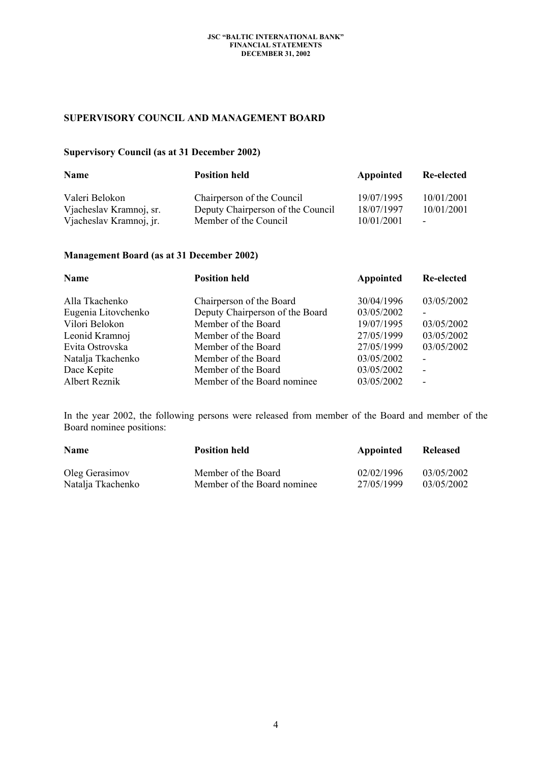# **SUPERVISORY COUNCIL AND MANAGEMENT BOARD**

# **Supervisory Council (as at 31 December 2002)**

| Name                    | <b>Position held</b>              | Appointed  | Re-elected               |  |
|-------------------------|-----------------------------------|------------|--------------------------|--|
| Valeri Belokon          | Chairperson of the Council        | 19/07/1995 | 10/01/2001               |  |
| Vjacheslav Kramnoj, sr. | Deputy Chairperson of the Council | 18/07/1997 | 10/01/2001               |  |
| Vjacheslav Kramnoj, jr. | Member of the Council             | 10/01/2001 | $\overline{\phantom{a}}$ |  |

# **Management Board (as at 31 December 2002)**

| Name                | <b>Position held</b>            | Appointed  | <b>Re-elected</b>        |  |
|---------------------|---------------------------------|------------|--------------------------|--|
| Alla Tkachenko      | Chairperson of the Board        | 30/04/1996 | 03/05/2002               |  |
| Eugenia Litovchenko | Deputy Chairperson of the Board | 03/05/2002 |                          |  |
| Vilori Belokon      | Member of the Board             | 19/07/1995 | 03/05/2002               |  |
| Leonid Kramnoj      | Member of the Board             | 27/05/1999 | 03/05/2002               |  |
| Evita Ostrovska     | Member of the Board             | 27/05/1999 | 03/05/2002               |  |
| Natalja Tkachenko   | Member of the Board             | 03/05/2002 |                          |  |
| Dace Kepite         | Member of the Board             | 03/05/2002 | $\overline{\phantom{a}}$ |  |
| Albert Reznik       | Member of the Board nominee.    | 03/05/2002 | $\overline{\phantom{0}}$ |  |

In the year 2002, the following persons were released from member of the Board and member of the Board nominee positions:

| <b>Name</b>       | <b>Position held</b>        | Appointed  | Released   |
|-------------------|-----------------------------|------------|------------|
| Oleg Gerasimov    | Member of the Board         | 02/02/1996 | 03/05/2002 |
| Natalja Tkachenko | Member of the Board nominee | 27/05/1999 | 03/05/2002 |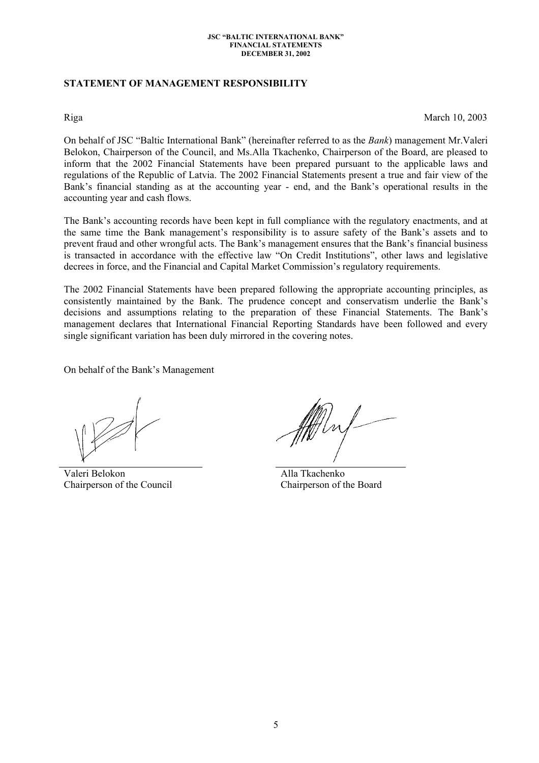# **STATEMENT OF MANAGEMENT RESPONSIBILITY**

Riga March 10, 2003

On behalf of JSC "Baltic International Bank" (hereinafter referred to as the *Bank*) management Mr.Valeri Belokon, Chairperson of the Council, and Ms.Alla Tkachenko, Chairperson of the Board, are pleased to inform that the 2002 Financial Statements have been prepared pursuant to the applicable laws and regulations of the Republic of Latvia. The 2002 Financial Statements present a true and fair view of the Bank's financial standing as at the accounting year - end, and the Bank's operational results in the accounting year and cash flows.

The Bank's accounting records have been kept in full compliance with the regulatory enactments, and at the same time the Bank management's responsibility is to assure safety of the Bank's assets and to prevent fraud and other wrongful acts. The Bank's management ensures that the Bank's financial business is transacted in accordance with the effective law "On Credit Institutions", other laws and legislative decrees in force, and the Financial and Capital Market Commission's regulatory requirements.

The 2002 Financial Statements have been prepared following the appropriate accounting principles, as consistently maintained by the Bank. The prudence concept and conservatism underlie the Bank's decisions and assumptions relating to the preparation of these Financial Statements. The Bank's management declares that International Financial Reporting Standards have been followed and every single significant variation has been duly mirrored in the covering notes.

On behalf of the Bank's Management

Valeri Belokon Chairperson of the Council

 Alla Tkachenko Chairperson of the Board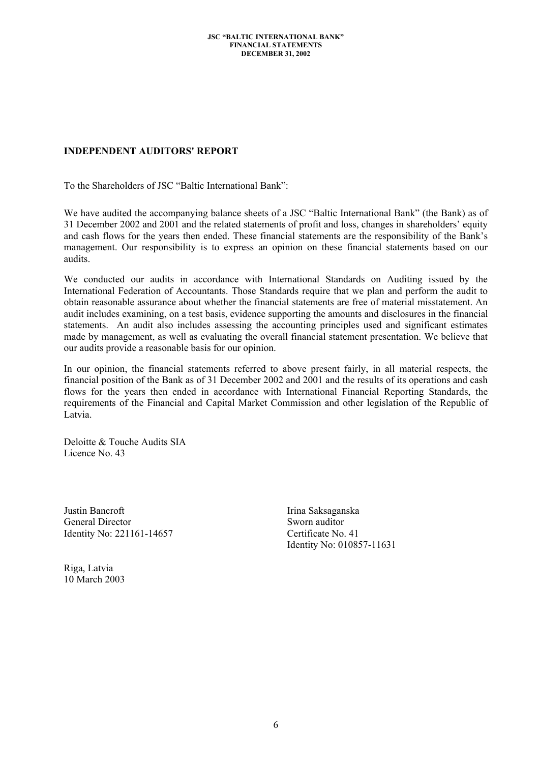# **INDEPENDENT AUDITORS' REPORT**

To the Shareholders of JSC "Baltic International Bank":

We have audited the accompanying balance sheets of a JSC "Baltic International Bank" (the Bank) as of 31 December 2002 and 2001 and the related statements of profit and loss, changes in shareholders' equity and cash flows for the years then ended. These financial statements are the responsibility of the Bank's management. Our responsibility is to express an opinion on these financial statements based on our audits.

We conducted our audits in accordance with International Standards on Auditing issued by the International Federation of Accountants. Those Standards require that we plan and perform the audit to obtain reasonable assurance about whether the financial statements are free of material misstatement. An audit includes examining, on a test basis, evidence supporting the amounts and disclosures in the financial statements. An audit also includes assessing the accounting principles used and significant estimates made by management, as well as evaluating the overall financial statement presentation. We believe that our audits provide a reasonable basis for our opinion.

In our opinion, the financial statements referred to above present fairly, in all material respects, the financial position of the Bank as of 31 December 2002 and 2001 and the results of its operations and cash flows for the years then ended in accordance with International Financial Reporting Standards, the requirements of the Financial and Capital Market Commission and other legislation of the Republic of Latvia.

Deloitte & Touche Audits SIA Licence No. 43

Justin Bancroft General Director Identity No: 221161-14657 Irina Saksaganska Sworn auditor Certificate No. 41 Identity No: 010857-11631

Riga, Latvia 10 March 2003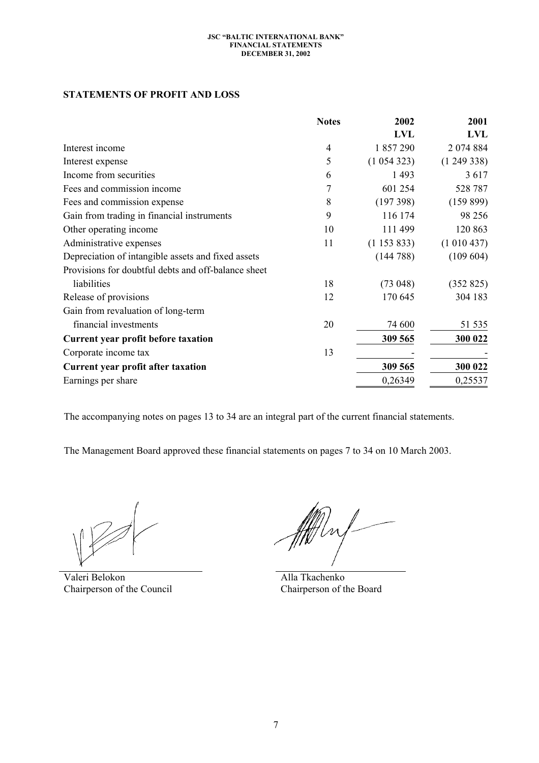# **STATEMENTS OF PROFIT AND LOSS**

|                                                     | <b>Notes</b>   | 2002            | 2001        |
|-----------------------------------------------------|----------------|-----------------|-------------|
|                                                     |                | <b>LVL</b>      | LVL         |
| Interest income                                     | 4              | 1 857 290       | 2 0 74 8 84 |
| Interest expense                                    | 5              | (1054323)       | (1249338)   |
| Income from securities                              | 6              | 1 4 9 3         | 3617        |
| Fees and commission income                          | $\overline{7}$ | 601 254         | 528 787     |
| Fees and commission expense                         | 8              | (197398)        | (159899)    |
| Gain from trading in financial instruments          | 9              | 116 174         | 98 25 6     |
| Other operating income                              | 10             | 111 499         | 120 863     |
| Administrative expenses                             | 11             | $(1\;153\;833)$ | (1010437)   |
| Depreciation of intangible assets and fixed assets  |                | (144788)        | (109604)    |
| Provisions for doubtful debts and off-balance sheet |                |                 |             |
| liabilities                                         | 18             | (73048)         | (352 825)   |
| Release of provisions                               | 12             | 170 645         | 304 183     |
| Gain from revaluation of long-term                  |                |                 |             |
| financial investments                               | 20             | 74 600          | 51 535      |
| Current year profit before taxation                 |                | 309 565         | 300 022     |
| Corporate income tax                                | 13             |                 |             |
| Current year profit after taxation                  |                | 309 565         | 300 022     |
| Earnings per share                                  |                | 0,26349         | 0,25537     |

The accompanying notes on pages 13 to 34 are an integral part of the current financial statements.

The Management Board approved these financial statements on pages 7 to 34 on 10 March 2003.

Valeri Belokon Chairperson of the Council

n)<br>Unf-

 Alla Tkachenko Chairperson of the Board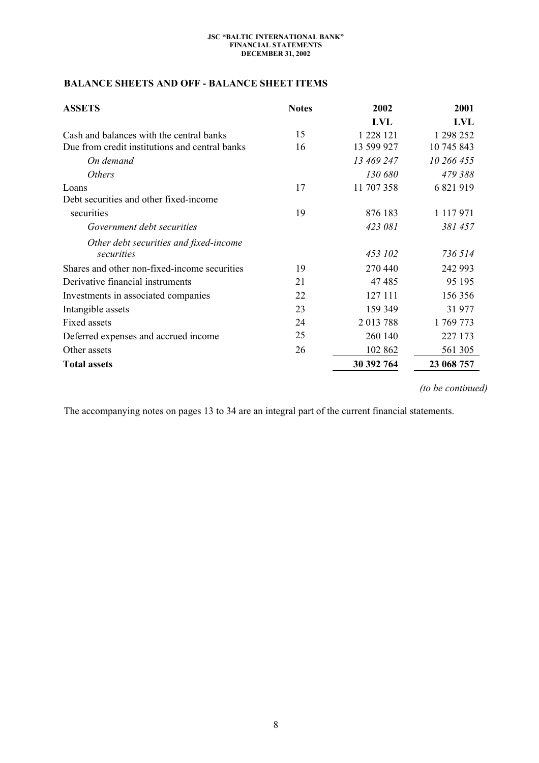# **BALANCE SHEETS AND OFF - BALANCE SHEET ITEMS**

| <b>ASSETS</b>                                  | <b>Notes</b> | 2002       | 2001          |  |
|------------------------------------------------|--------------|------------|---------------|--|
|                                                |              | <b>LVL</b> | <b>LVL</b>    |  |
| Cash and balances with the central banks       | 15           | 1 228 121  | 1 298 252     |  |
| Due from credit institutions and central banks | 16           | 13 599 927 | 10 745 843    |  |
| On demand                                      |              | 13 469 247 | 10 266 455    |  |
| <b>Others</b>                                  |              | 130 680    | 479 388       |  |
| Loans                                          | 17           | 11 707 358 | 6 821 919     |  |
| Debt securities and other fixed-income         |              |            |               |  |
| securities                                     | 19           | 876 183    | 1 1 1 7 9 7 1 |  |
| Government debt securities                     |              | 423 081    | 381 457       |  |
| Other debt securities and fixed-income         |              |            |               |  |
| securities                                     |              | 453 102    | 736 514       |  |
| Shares and other non-fixed-income securities   | 19           | 270 440    | 242 993       |  |
| Derivative financial instruments               | 21           | 47485      | 95 195        |  |
| Investments in associated companies            | 22           | 127 111    | 156 356       |  |
| Intangible assets                              | 23           | 159 349    | 31977         |  |
| Fixed assets                                   | 24           | 2013788    | 1769773       |  |
| Deferred expenses and accrued income           | 25           | 260 140    | 227 173       |  |
| Other assets                                   | 26           | 102 862    | 561 305       |  |
| <b>Total assets</b>                            |              | 30 392 764 | 23 068 757    |  |

*(to be continued)*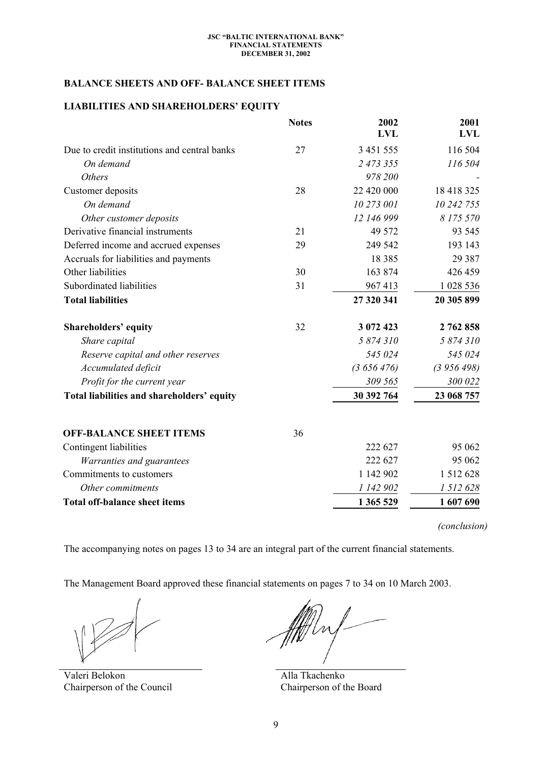# **BALANCE SHEETS AND OFF- BALANCE SHEET ITEMS**

# **LIABILITIES AND SHAREHOLDERS' EQUITY**

|                                              | <b>Notes</b> | 2002<br><b>LVL</b> | 2001<br><b>LVL</b> |
|----------------------------------------------|--------------|--------------------|--------------------|
| Due to credit institutions and central banks | 27           | 3 451 555          | 116 504            |
| On demand                                    |              | 2 473 355          | 116 504            |
| <b>Others</b>                                |              | 978 200            |                    |
| Customer deposits                            | 28           | 22 420 000         | 18 418 325         |
| On demand                                    |              | 10 273 001         | 10 242 755         |
| Other customer deposits                      |              | 12 146 999         | 8 175 570          |
| Derivative financial instruments             | 21           | 49 572             | 93 545             |
| Deferred income and accrued expenses         | 29           | 249 542            | 193 143            |
| Accruals for liabilities and payments        |              | 18 3 8 5           | 29 3 8 7           |
| Other liabilities                            | 30           | 163 874            | 426 459            |
| Subordinated liabilities                     | 31           | 967413             | 1 028 536          |
| <b>Total liabilities</b>                     |              | 27 320 341         | 20 305 899         |
| <b>Shareholders' equity</b>                  | 32           | 3 072 423          | 2 762 858          |
| Share capital                                |              | 5 874 310          | 5 874 310          |
| Reserve capital and other reserves           |              | 545 024            | 545 024            |
| Accumulated deficit                          |              | (3656476)          | (3956498)          |
| Profit for the current year                  |              | 309 565            | 300 022            |
| Total liabilities and shareholders' equity   |              | 30 392 764         | 23 068 757         |
| <b>OFF-BALANCE SHEET ITEMS</b>               | 36           |                    |                    |
| Contingent liabilities                       |              | 222 627            | 95 062             |
| Warranties and guarantees                    |              | 222 627            | 95 062             |
| Commitments to customers                     |              | 1 142 902          | 1 5 1 2 6 2 8      |
| Other commitments                            |              | 1 142 902          | 1 512 628          |
| <b>Total off-balance sheet items</b>         |              | 1 365 529          | 1 607 690          |

*(conclusion)* 

The accompanying notes on pages 13 to 34 are an integral part of the current financial statements.

The Management Board approved these financial statements on pages 7 to 34 on 10 March 2003.

Valeri Belokon Chairperson of the Council

Hrr

 Alla Tkachenko Chairperson of the Board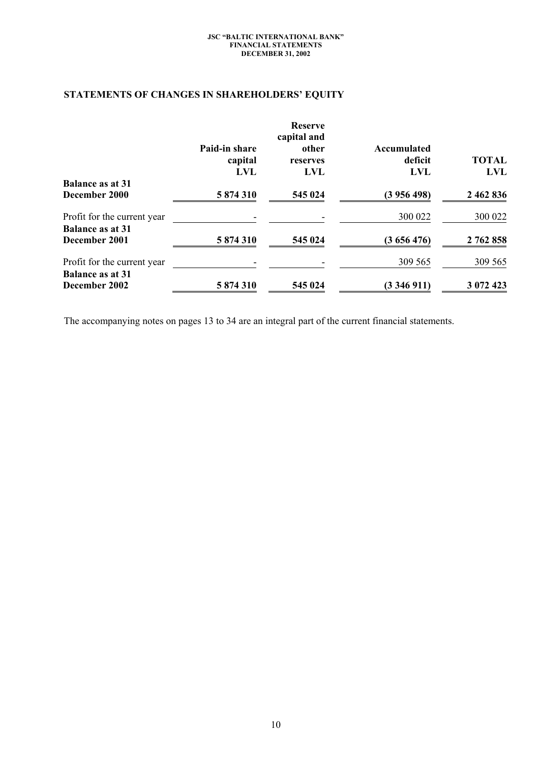# **STATEMENTS OF CHANGES IN SHAREHOLDERS' EQUITY**

|                                                        |                                 | <b>Reserve</b><br>capital and |                                      |                     |
|--------------------------------------------------------|---------------------------------|-------------------------------|--------------------------------------|---------------------|
|                                                        | Paid-in share<br>capital<br>LVL | other<br>reserves<br>LVL      | Accumulated<br>deficit<br><b>LVL</b> | <b>TOTAL</b><br>LVL |
| <b>Balance as at 31</b><br>December 2000               | 5874310                         | 545 024                       | (3956498)                            | 2 462 836           |
| Profit for the current year<br><b>Balance as at 31</b> |                                 |                               | 300 022                              | 300 022             |
| December 2001                                          | 5 874 310                       | 545 024                       | (3656476)                            | 2 762 858           |
| Profit for the current year<br><b>Balance as at 31</b> |                                 |                               | 309 565                              | 309 565             |
| December 2002                                          | 5 874 310                       | 545 024                       | (3346911)                            | 3 072 423           |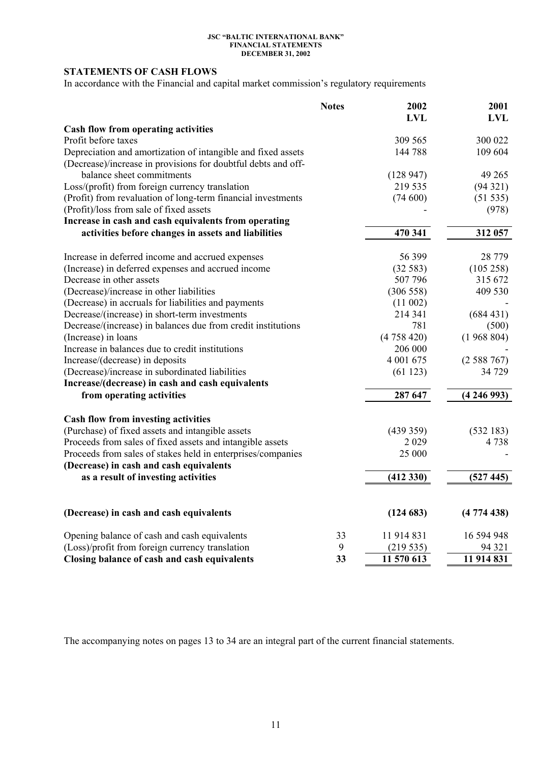# **STATEMENTS OF CASH FLOWS**

In accordance with the Financial and capital market commission's regulatory requirements

|                                                               | <b>Notes</b> | 2002<br><b>LVL</b> | 2001<br><b>LVL</b> |
|---------------------------------------------------------------|--------------|--------------------|--------------------|
| <b>Cash flow from operating activities</b>                    |              |                    |                    |
| Profit before taxes                                           |              | 309 565            | 300 022            |
| Depreciation and amortization of intangible and fixed assets  |              | 144 788            | 109 604            |
| (Decrease)/increase in provisions for doubtful debts and off- |              |                    |                    |
| balance sheet commitments                                     |              | (128947)           | 49 265             |
| Loss/(profit) from foreign currency translation               |              | 219 535            | (94321)            |
| (Profit) from revaluation of long-term financial investments  |              | (74600)            | (51 535)           |
| (Profit)/loss from sale of fixed assets                       |              |                    | (978)              |
| Increase in cash and cash equivalents from operating          |              |                    |                    |
| activities before changes in assets and liabilities           |              | 470 341            | 312 057            |
| Increase in deferred income and accrued expenses              |              | 56 399             | 28 7 79            |
| (Increase) in deferred expenses and accrued income            |              | (32583)            | (105 258)          |
| Decrease in other assets                                      |              | 507 796            | 315 672            |
| (Decrease)/increase in other liabilities                      |              | (306558)           | 409 530            |
| (Decrease) in accruals for liabilities and payments           |              | (11002)            |                    |
| Decrease/(increase) in short-term investments                 |              | 214 341            | (684431)           |
| Decrease/(increase) in balances due from credit institutions  |              | 781                | (500)              |
| (Increase) in loans                                           |              | (4758420)          | (1968804)          |
| Increase in balances due to credit institutions               |              | 206 000            |                    |
| Increase/(decrease) in deposits                               |              | 4 001 675          | (2588767)          |
| (Decrease)/increase in subordinated liabilities               |              | (61123)            | 34 729             |
| Increase/(decrease) in cash and cash equivalents              |              |                    |                    |
| from operating activities                                     |              | 287 647            | (4246993)          |
| Cash flow from investing activities                           |              |                    |                    |
| (Purchase) of fixed assets and intangible assets              |              | (439359)           | (532183)           |
| Proceeds from sales of fixed assets and intangible assets     |              | 2 0 2 9            | 4738               |
| Proceeds from sales of stakes held in enterprises/companies   |              | 25 000             |                    |
| (Decrease) in cash and cash equivalents                       |              |                    |                    |
| as a result of investing activities                           |              | (412330)           | (527445)           |
|                                                               |              |                    |                    |
| (Decrease) in cash and cash equivalents                       |              | (124683)           | (4774438)          |
| Opening balance of cash and cash equivalents                  | 33           | 11 914 831         | 16 594 948         |
| (Loss)/profit from foreign currency translation               | 9            | (219535)           | 94 321             |
| Closing balance of cash and cash equivalents                  | 33           | 11 570 613         | 11 914 831         |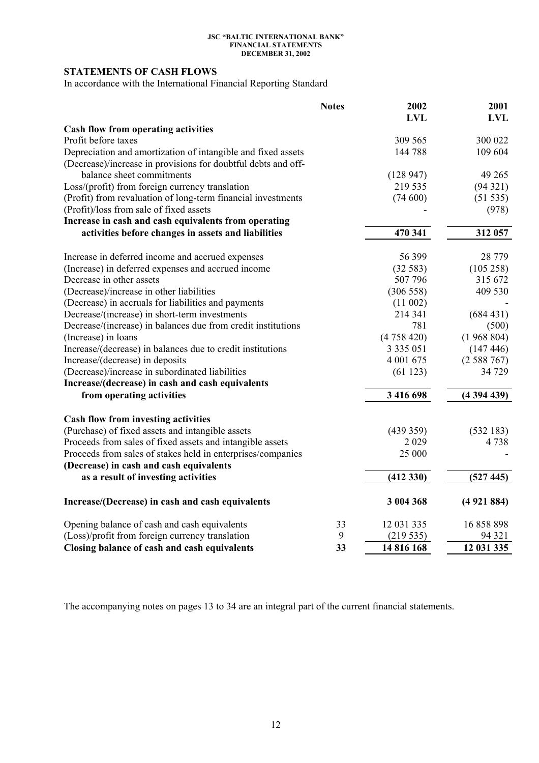# **STATEMENTS OF CASH FLOWS**

In accordance with the International Financial Reporting Standard

|                                                               | <b>Notes</b> | 2002<br><b>LVL</b> | 2001<br><b>LVL</b> |
|---------------------------------------------------------------|--------------|--------------------|--------------------|
| Cash flow from operating activities                           |              |                    |                    |
| Profit before taxes                                           |              | 309 565            | 300 022            |
| Depreciation and amortization of intangible and fixed assets  |              | 144 788            | 109 604            |
| (Decrease)/increase in provisions for doubtful debts and off- |              |                    |                    |
| balance sheet commitments                                     |              | (128947)           | 49 265             |
| Loss/(profit) from foreign currency translation               |              | 219 535            | (94321)            |
| (Profit) from revaluation of long-term financial investments  |              | (74600)            | (51 535)           |
| (Profit)/loss from sale of fixed assets                       |              |                    | (978)              |
| Increase in cash and cash equivalents from operating          |              |                    |                    |
| activities before changes in assets and liabilities           |              | 470 341            | 312 057            |
| Increase in deferred income and accrued expenses              |              | 56 399             | 28 779             |
| (Increase) in deferred expenses and accrued income            |              | (32583)            | (105 258)          |
| Decrease in other assets                                      |              | 507 796            | 315 672            |
| (Decrease)/increase in other liabilities                      |              | (306558)           | 409 530            |
| (Decrease) in accruals for liabilities and payments           |              | (11002)            |                    |
| Decrease/(increase) in short-term investments                 |              | 214 341            | (684431)           |
| Decrease/(increase) in balances due from credit institutions  |              | 781                | (500)              |
| (Increase) in loans                                           |              | (4758420)          | (1968804)          |
| Increase/(decrease) in balances due to credit institutions    |              | 3 3 3 5 0 5 1      | (147446)           |
| Increase/(decrease) in deposits                               |              | 4 001 675          | (2588767)          |
| (Decrease)/increase in subordinated liabilities               |              | (61123)            | 34 729             |
| Increase/(decrease) in cash and cash equivalents              |              |                    |                    |
| from operating activities                                     |              | 3 416 698          | (4394439)          |
| Cash flow from investing activities                           |              |                    |                    |
| (Purchase) of fixed assets and intangible assets              |              | (439 359)          | (532183)           |
| Proceeds from sales of fixed assets and intangible assets     |              | 2029               | 4738               |
| Proceeds from sales of stakes held in enterprises/companies   |              | 25 000             |                    |
| (Decrease) in cash and cash equivalents                       |              |                    |                    |
| as a result of investing activities                           |              | (412330)           | (527445)           |
| Increase/(Decrease) in cash and cash equivalents              |              | 3 004 368          | (4921884)          |
| Opening balance of cash and cash equivalents                  | 33           | 12 031 335         | 16 858 898         |
| (Loss)/profit from foreign currency translation               | 9            | (219535)           | 94 321             |
| Closing balance of cash and cash equivalents                  | 33           | 14 816 168         | 12 031 335         |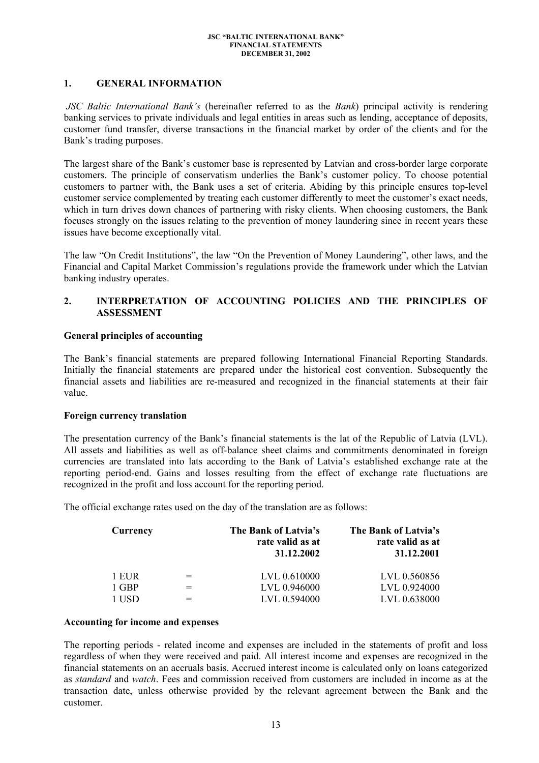### **1. GENERAL INFORMATION**

 *JSC Baltic International Bank's* (hereinafter referred to as the *Bank*) principal activity is rendering banking services to private individuals and legal entities in areas such as lending, acceptance of deposits, customer fund transfer, diverse transactions in the financial market by order of the clients and for the Bank's trading purposes.

The largest share of the Bank's customer base is represented by Latvian and cross-border large corporate customers. The principle of conservatism underlies the Bank's customer policy. To choose potential customers to partner with, the Bank uses a set of criteria. Abiding by this principle ensures top-level customer service complemented by treating each customer differently to meet the customer's exact needs, which in turn drives down chances of partnering with risky clients. When choosing customers, the Bank focuses strongly on the issues relating to the prevention of money laundering since in recent years these issues have become exceptionally vital.

The law "On Credit Institutions", the law "On the Prevention of Money Laundering", other laws, and the Financial and Capital Market Commission's regulations provide the framework under which the Latvian banking industry operates.

# **2. INTERPRETATION OF АCCOUNTING POLICIES АND THE PRINCIPLES OF ASSESSMENT**

# **General principles of accounting**

The Bank's financial statements are prepared following International Financial Reporting Standards. Initially the financial statements are prepared under the historical cost convention. Subsequently the financial assets and liabilities are re-measured and recognized in the financial statements at their fair value.

### **Foreign currency translation**

The presentation currency of the Bank's financial statements is the lat of the Republic of Latvia (LVL). All assets and liabilities as well as off-balance sheet claims and commitments denominated in foreign currencies are translated into lats according to the Bank of Latvia's established exchange rate at the reporting period-end. Gains and losses resulting from the effect of exchange rate fluctuations are recognized in the profit and loss account for the reporting period.

The official exchange rates used on the day of the translation are as follows:

| Currency | The Bank of Latvia's<br>rate valid as at<br>31.12.2002 | The Bank of Latvia's<br>rate valid as at<br>31.12.2001 |
|----------|--------------------------------------------------------|--------------------------------------------------------|
| 1 EUR    | LVL 0.610000                                           | LVL 0.560856                                           |
| 1 GBP    | LVL 0.946000                                           | LVL 0.924000                                           |
| 1 USD    | LVL 0.594000                                           | LVL 0.638000                                           |

### **Accounting for income and expenses**

The reporting periods - related income and expenses are included in the statements of profit and loss regardless of when they were received and paid. All interest income and expenses are recognized in the financial statements on an accruals basis. Accrued interest income is calculated only on loans categorized as *standard* and *watch*. Fees and commission received from customers are included in income as at the transaction date, unless otherwise provided by the relevant agreement between the Bank and the customer.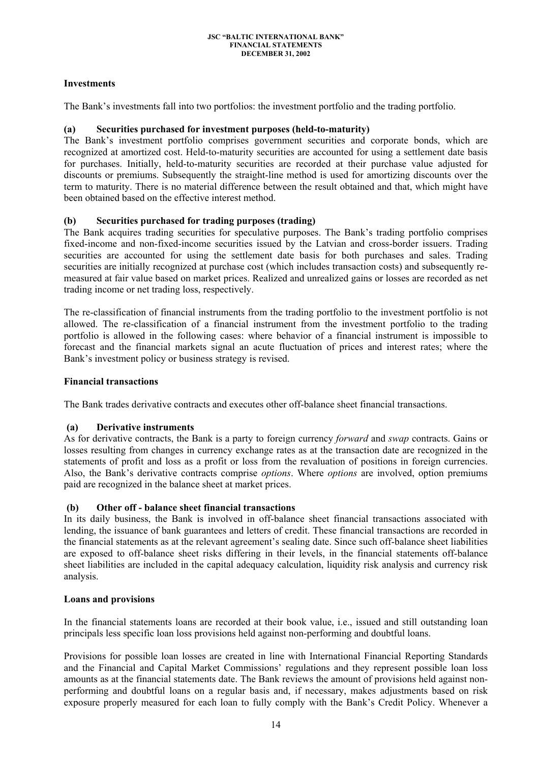# **Investments**

The Bank's investments fall into two portfolios: the investment portfolio and the trading portfolio.

# **(a) Securities purchased for investment purposes (held-to-maturity)**

The Bank's investment portfolio comprises government securities and corporate bonds, which are recognized at amortized cost. Held-to-maturity securities are accounted for using a settlement date basis for purchases. Initially, held-to-maturity securities are recorded at their purchase value adjusted for discounts or premiums. Subsequently the straight-line method is used for amortizing discounts over the term to maturity. There is no material difference between the result obtained and that, which might have been obtained based on the effective interest method.

# **(b) Securities purchased for trading purposes (trading)**

The Bank acquires trading securities for speculative purposes. The Bank's trading portfolio comprises fixed-income and non-fixed-income securities issued by the Latvian and cross-border issuers. Trading securities are accounted for using the settlement date basis for both purchases and sales. Trading securities are initially recognized at purchase cost (which includes transaction costs) and subsequently remeasured at fair value based on market prices. Realized and unrealized gains or losses are recorded as net trading income or net trading loss, respectively.

The re-classification of financial instruments from the trading portfolio to the investment portfolio is not allowed. The re-classification of a financial instrument from the investment portfolio to the trading portfolio is allowed in the following cases: where behavior of a financial instrument is impossible to forecast and the financial markets signal an acute fluctuation of prices and interest rates; where the Bank's investment policy or business strategy is revised.

### **Financial transactions**

The Bank trades derivative contracts and executes other off-balance sheet financial transactions.

### **(a) Derivative instruments**

As for derivative contracts, the Bank is a party to foreign currency *forward* and *swap* contracts. Gains or losses resulting from changes in currency exchange rates as at the transaction date are recognized in the statements of profit and loss as a profit or loss from the revaluation of positions in foreign currencies. Also, the Bank's derivative contracts comprise *options*. Where *options* are involved, option premiums paid are recognized in the balance sheet at market prices.

### **(b) Other off - balance sheet financial transactions**

In its daily business, the Bank is involved in off-balance sheet financial transactions associated with lending, the issuance of bank guarantees and letters of credit. These financial transactions are recorded in the financial statements as at the relevant agreement's sealing date. Since such off-balance sheet liabilities are exposed to off-balance sheet risks differing in their levels, in the financial statements off-balance sheet liabilities are included in the capital adequacy calculation, liquidity risk analysis and currency risk analysis.

### **Loans and provisions**

In the financial statements loans are recorded at their book value, i.e., issued and still outstanding loan principals less specific loan loss provisions held against non-performing and doubtful loans.

Provisions for possible loan losses are created in line with International Financial Reporting Standards and the Financial and Capital Market Commissions' regulations and they represent possible loan loss amounts as at the financial statements date. The Bank reviews the amount of provisions held against nonperforming and doubtful loans on a regular basis and, if necessary, makes adjustments based on risk exposure properly measured for each loan to fully comply with the Bank's Credit Policy. Whenever a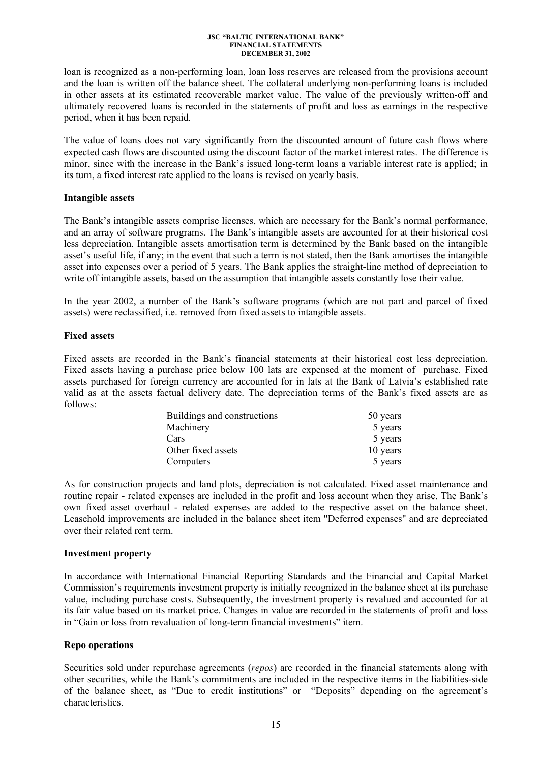loan is recognized as a non-performing loan, loan loss reserves are released from the provisions account and the loan is written off the balance sheet. The collateral underlying non-performing loans is included in other assets at its estimated recoverable market value. The value of the previously written-off and ultimately recovered loans is recorded in the statements of profit and loss as earnings in the respective period, when it has been repaid.

The value of loans does not vary significantly from the discounted amount of future cash flows where expected cash flows are discounted using the discount factor of the market interest rates. The difference is minor, since with the increase in the Bank's issued long-term loans a variable interest rate is applied; in its turn, a fixed interest rate applied to the loans is revised on yearly basis.

### **Intangible assets**

The Bank's intangible assets comprise licenses, which are necessary for the Bank's normal performance, and an array of software programs. The Bank's intangible assets are accounted for at their historical cost less depreciation. Intangible assets amortisation term is determined by the Bank based on the intangible asset's useful life, if any; in the event that such a term is not stated, then the Bank amortises the intangible asset into expenses over a period of 5 years. The Bank applies the straight-line method of depreciation to write off intangible assets, based on the assumption that intangible assets constantly lose their value.

In the year 2002, a number of the Bank's software programs (which are not part and parcel of fixed assets) were reclassified, i.e. removed from fixed assets to intangible assets.

### **Fixed assets**

Fixed assets are recorded in the Bank's financial statements at their historical cost less depreciation. Fixed assets having a purchase price below 100 lats are expensed at the moment of purchase. Fixed assets purchased for foreign currency are accounted for in lats at the Bank of Latvia's established rate valid as at the assets factual delivery date. The depreciation terms of the Bank's fixed assets are as follows:

| Buildings and constructions | 50 years |
|-----------------------------|----------|
| Machinery                   | 5 years  |
| Cars                        | 5 years  |
| Other fixed assets          | 10 years |
| Computers                   | 5 years  |

As for construction projects and land plots, depreciation is not calculated. Fixed asset maintenance and routine repair - related expenses are included in the profit and loss account when they arise. The Bank's own fixed asset overhaul - related expenses are added to the respective asset on the balance sheet. Leasehold improvements are included in the balance sheet item "Deferred expenses" and are depreciated over their related rent term.

### **Investment property**

In accordance with International Financial Reporting Standards and the Financial and Capital Market Commission's requirements investment property is initially recognized in the balance sheet at its purchase value, including purchase costs. Subsequently, the investment property is revalued and accounted for at its fair value based on its market price. Changes in value are recorded in the statements of profit and loss in "Gain or loss from revaluation of long-term financial investments" item.

### **Repo operations**

Securities sold under repurchase agreements (*repos*) are recorded in the financial statements along with other securities, while the Bank's commitments are included in the respective items in the liabilities-side of the balance sheet, as "Due to credit institutions" or "Deposits" depending on the agreement's characteristics.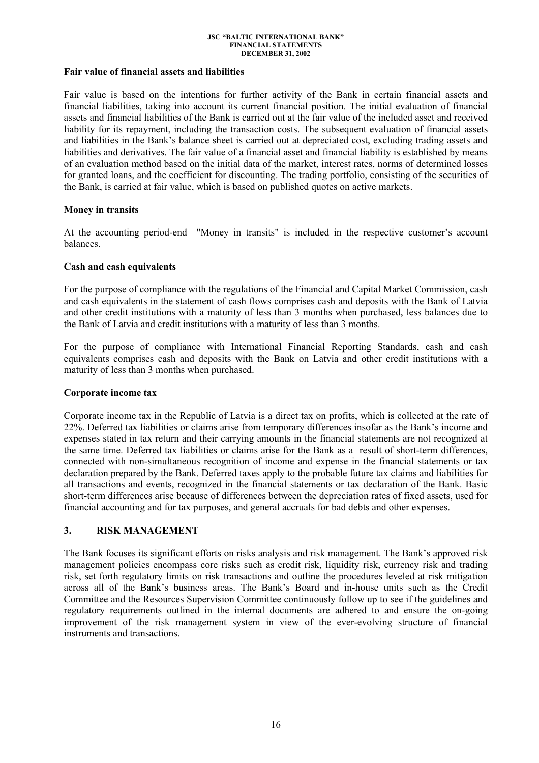# **Fair value of financial assets and liabilities**

Fair value is based on the intentions for further activity of the Bank in certain financial assets and financial liabilities, taking into account its current financial position. The initial evaluation of financial assets and financial liabilities of the Bank is carried out at the fair value of the included asset and received liability for its repayment, including the transaction costs. The subsequent evaluation of financial assets and liabilities in the Bank's balance sheet is carried out at depreciated cost, excluding trading assets and liabilities and derivatives. The fair value of a financial asset and financial liability is established by means of an evaluation method based on the initial data of the market, interest rates, norms of determined losses for granted loans, and the coefficient for discounting. The trading portfolio, consisting of the securities of the Bank, is carried at fair value, which is based on published quotes on active markets.

# **Money in transits**

At the accounting period-end "Money in transits" is included in the respective customer's account balances.

# **Cash and cash equivalents**

For the purpose of compliance with the regulations of the Financial and Capital Market Commission, cash and cash equivalents in the statement of cash flows comprises cash and deposits with the Bank of Latvia and other credit institutions with a maturity of less than 3 months when purchased, less balances due to the Bank of Latvia and credit institutions with a maturity of less than 3 months.

For the purpose of compliance with International Financial Reporting Standards, cash and cash equivalents comprises cash and deposits with the Bank on Latvia and other credit institutions with a maturity of less than 3 months when purchased.

### **Corporate income tax**

Corporate income tax in the Republic of Latvia is a direct tax on profits, which is collected at the rate of 22%. Deferred tax liabilities or claims arise from temporary differences insofar as the Bank's income and expenses stated in tax return and their carrying amounts in the financial statements are not recognized at the same time. Deferred tax liabilities or claims arise for the Bank as a result of short-term differences, connected with non-simultaneous recognition of income and expense in the financial statements or tax declaration prepared by the Bank. Deferred taxes apply to the probable future tax claims and liabilities for all transactions and events, recognized in the financial statements or tax declaration of the Bank. Basic short-term differences arise because of differences between the depreciation rates of fixed assets, used for financial accounting and for tax purposes, and general accruals for bad debts and other expenses.

### **3. RISK MANAGEMENT**

The Bank focuses its significant efforts on risks analysis and risk management. The Bank's approved risk management policies encompass core risks such as credit risk, liquidity risk, currency risk and trading risk, set forth regulatory limits on risk transactions and outline the procedures leveled at risk mitigation across all of the Bank's business areas. The Bank's Board and in-house units such as the Credit Committee and the Resources Supervision Committee continuously follow up to see if the guidelines and regulatory requirements outlined in the internal documents are adhered to and ensure the on-going improvement of the risk management system in view of the ever-evolving structure of financial instruments and transactions.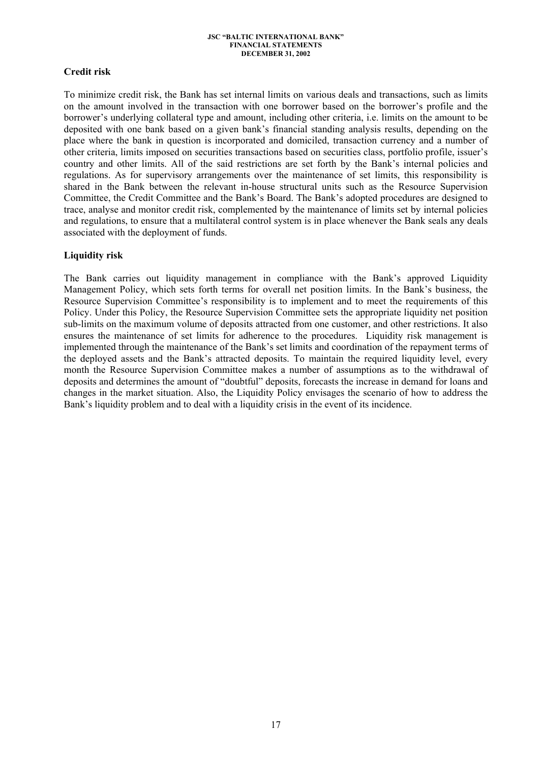# **Credit risk**

To minimize credit risk, the Bank has set internal limits on various deals and transactions, such as limits on the amount involved in the transaction with one borrower based on the borrower's profile and the borrower's underlying collateral type and amount, including other criteria, i.e. limits on the amount to be deposited with one bank based on a given bank's financial standing analysis results, depending on the place where the bank in question is incorporated and domiciled, transaction currency and a number of other criteria, limits imposed on securities transactions based on securities class, portfolio profile, issuer's country and other limits. All of the said restrictions are set forth by the Bank's internal policies and regulations. As for supervisory arrangements over the maintenance of set limits, this responsibility is shared in the Bank between the relevant in-house structural units such as the Resource Supervision Committee, the Credit Committee and the Bank's Board. The Bank's adopted procedures are designed to trace, analyse and monitor credit risk, complemented by the maintenance of limits set by internal policies and regulations, to ensure that a multilateral control system is in place whenever the Bank seals any deals associated with the deployment of funds.

# **Liquidity risk**

The Bank carries out liquidity management in compliance with the Bank's approved Liquidity Management Policy, which sets forth terms for overall net position limits. In the Bank's business, the Resource Supervision Committee's responsibility is to implement and to meet the requirements of this Policy. Under this Policy, the Resource Supervision Committee sets the appropriate liquidity net position sub-limits on the maximum volume of deposits attracted from one customer, and other restrictions. It also ensures the maintenance of set limits for adherence to the procedures. Liquidity risk management is implemented through the maintenance of the Bank's set limits and coordination of the repayment terms of the deployed assets and the Bank's attracted deposits. To maintain the required liquidity level, every month the Resource Supervision Committee makes a number of assumptions as to the withdrawal of deposits and determines the amount of "doubtful" deposits, forecasts the increase in demand for loans and changes in the market situation. Also, the Liquidity Policy envisages the scenario of how to address the Bank's liquidity problem and to deal with a liquidity crisis in the event of its incidence.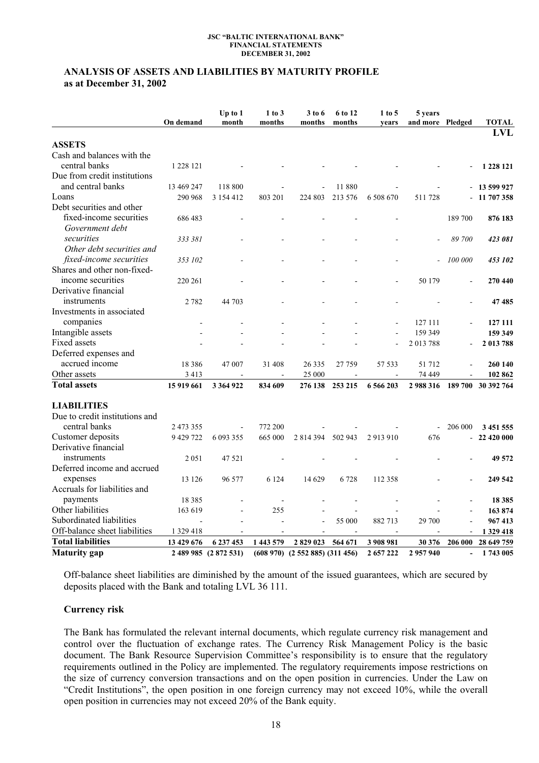# **ANALYSIS OF ASSETS AND LIABILITIES BY MATURITY PROFILE as at December 31, 2002**

|                                | On demand  | Up to 1<br>month      | 1 to 3<br>months         | 3 to 6<br>months                  | 6 to 12<br>months | $1$ to 5<br>vears   | 5 years<br>and more Pledged |                | <b>TOTAL</b>       |
|--------------------------------|------------|-----------------------|--------------------------|-----------------------------------|-------------------|---------------------|-----------------------------|----------------|--------------------|
|                                |            |                       |                          |                                   |                   |                     |                             |                | <b>LVL</b>         |
| <b>ASSETS</b>                  |            |                       |                          |                                   |                   |                     |                             |                |                    |
| Cash and balances with the     |            |                       |                          |                                   |                   |                     |                             |                |                    |
| central banks                  | 1 228 121  |                       |                          |                                   |                   |                     |                             |                | 1 228 121          |
| Due from credit institutions   |            |                       |                          |                                   |                   |                     |                             |                |                    |
| and central banks              | 13 469 247 | 118 800               |                          |                                   | 11880             |                     |                             |                | 13 599 927         |
| Loans                          | 290 968    | 3 154 412             | 803 201                  | 224 803                           | 213 576           | 6 508 670           | 511728                      |                | 11 707 358         |
| Debt securities and other      |            |                       |                          |                                   |                   |                     |                             |                |                    |
| fixed-income securities        | 686 483    |                       |                          |                                   |                   |                     |                             | 189 700        | 876 183            |
| Government debt                |            |                       |                          |                                   |                   |                     |                             |                |                    |
| securities                     | 333 381    |                       |                          |                                   |                   |                     |                             | 89 700         | 423 081            |
| Other debt securities and      |            |                       |                          |                                   |                   |                     |                             |                |                    |
| fixed-income securities        | 353 102    |                       |                          |                                   |                   |                     |                             | 100 000        | 453 102            |
| Shares and other non-fixed-    |            |                       |                          |                                   |                   |                     |                             |                |                    |
| income securities              | 220 261    |                       |                          |                                   |                   |                     | 50 179                      |                | 270 440            |
| Derivative financial           |            |                       |                          |                                   |                   |                     |                             |                |                    |
| instruments                    | 2 7 8 2    | 44 703                |                          |                                   |                   |                     |                             |                | 47 485             |
| Investments in associated      |            |                       |                          |                                   |                   |                     |                             |                |                    |
| companies                      |            |                       |                          |                                   |                   |                     | 127 111                     |                | 127 111            |
| Intangible assets              |            |                       |                          |                                   |                   |                     | 159 349                     |                | 159 349            |
| Fixed assets                   |            |                       |                          |                                   |                   |                     | 2013788                     |                | 2 013 788          |
| Deferred expenses and          |            |                       |                          |                                   |                   |                     |                             |                |                    |
| accrued income                 | 18 3 8 6   | 47 007                | 31 408                   | 26 3 35                           | 27 759            | 57 533              | 51 712                      |                | 260 140            |
| Other assets                   | 3 4 1 3    | $\blacksquare$        | $\overline{\phantom{a}}$ | 25 000                            | $\blacksquare$    | $\blacksquare$      | 74 449                      |                | 102 862            |
| <b>Total assets</b>            | 15 919 661 | 3 3 64 9 22           | 834 609                  | 276 138                           | 253 215           | 6 566 203           | 2988316                     |                | 189 700 30 392 764 |
|                                |            |                       |                          |                                   |                   |                     |                             |                |                    |
| <b>LIABILITIES</b>             |            |                       |                          |                                   |                   |                     |                             |                |                    |
| Due to credit institutions and |            |                       |                          |                                   |                   |                     |                             |                |                    |
| central banks                  | 2 473 355  |                       | 772 200                  |                                   |                   |                     |                             | 206 000        | 3 451 555          |
| Customer deposits              | 9 429 722  | 6 093 355             | 665 000                  | 2 8 14 3 94                       | 502 943           | 2913910             | 676                         |                | 22 420 000         |
| Derivative financial           |            |                       |                          |                                   |                   |                     |                             |                |                    |
| instruments                    | 2051       | 47 521                |                          |                                   |                   |                     |                             |                | 49 572             |
| Deferred income and accrued    |            |                       |                          |                                   |                   |                     |                             |                |                    |
| expenses                       | 13 126     | 96 577                | 6 1 2 4                  | 14 629                            | 6728              | 112 358             |                             |                | 249 542            |
| Accruals for liabilities and   |            |                       |                          |                                   |                   |                     |                             |                |                    |
| payments                       | 18 3 8 5   |                       |                          |                                   |                   |                     |                             |                | 18 3 8 5           |
| Other liabilities              | 163 619    |                       | 255                      |                                   |                   |                     |                             |                | 163 874            |
| Subordinated liabilities       |            |                       |                          |                                   | 55 000            | 882713              | 29 700                      |                | 967413             |
| Off-balance sheet liabilities  | 1 329 418  |                       |                          |                                   | $\blacksquare$    | $\bar{\phantom{a}}$ |                             | $\overline{a}$ | 1 329 418          |
| <b>Total liabilities</b>       | 13 429 676 | 6 237 453             | 1 443 579                | 2829023                           | 564 671           | 3 908 981           | 30 376                      | 206 000        | 28 649 759         |
| Maturity gap                   |            | 2 489 985 (2 872 531) |                          | $(608970)$ $(2552885)$ $(311456)$ |                   | 2 657 222           | 2957940                     |                | 1743 005           |

Off-balance sheet liabilities are diminished by the amount of the issued guarantees, which are secured by deposits placed with the Bank and totaling LVL 36 111.

### **Currency risk**

The Bank has formulated the relevant internal documents, which regulate currency risk management and control over the fluctuation of exchange rates. The Currency Risk Management Policy is the basic document. The Bank Resource Supervision Committee's responsibility is to ensure that the regulatory requirements outlined in the Policy are implemented. The regulatory requirements impose restrictions on the size of currency conversion transactions and on the open position in currencies. Under the Law on "Credit Institutions", the open position in one foreign currency may not exceed 10%, while the overall open position in currencies may not exceed 20% of the Bank equity.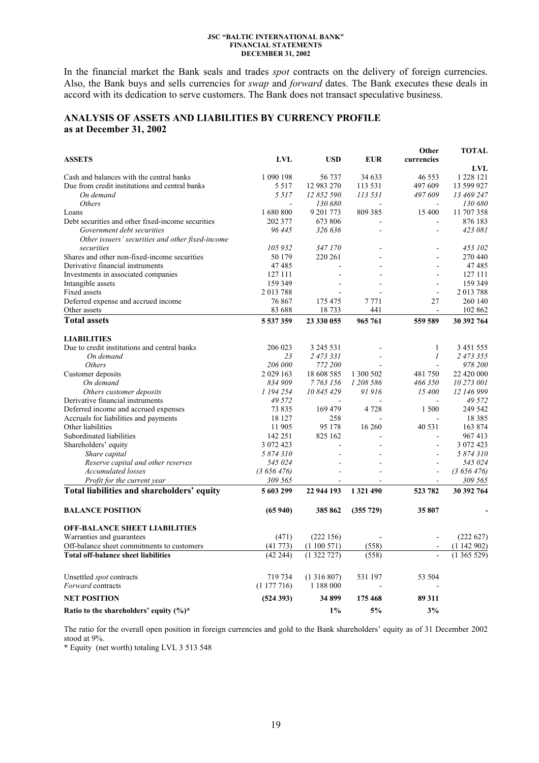In the financial market the Bank seals and trades *spot* contracts on the delivery of foreign currencies. Also, the Bank buys and sells currencies for *swap* and *forward* dates. The Bank executes these deals in accord with its dedication to serve customers. The Bank does not transact speculative business.

### **ANALYSIS OF ASSETS AND LIABILITIES BY CURRENCY PROFILE as at December 31, 2002**

|                                                                                  |                 |            |            | Other          | <b>TOTAL</b>       |
|----------------------------------------------------------------------------------|-----------------|------------|------------|----------------|--------------------|
| <b>ASSETS</b>                                                                    | LVL             | <b>USD</b> | <b>EUR</b> | currencies     |                    |
|                                                                                  |                 |            |            |                | LVL                |
| Cash and balances with the central banks                                         | 1 090 198       | 56737      | 34 633     | 46 5 5 3       | 1 228 121          |
| Due from credit institutions and central banks                                   | 5 5 1 7         | 12 983 270 | 113 531    | 497 609        | 13 599 927         |
| On demand                                                                        | 5 5 1 7         | 12 852 590 | 113 531    | 497 609        | 13 469 247         |
| <i>Others</i>                                                                    |                 | 130 680    |            |                | 130 680            |
| Loans                                                                            | 1680800         | 9 201 773  | 809 385    | 15 400         | 11 707 358         |
| Debt securities and other fixed-income securities                                | 202 377         | 673 806    |            | L,             | 876 183            |
| Government debt securities                                                       | 96 445          | 326 636    |            |                | 423 081            |
| Other issuers' securities and other fixed-income                                 |                 |            |            |                |                    |
| securities                                                                       | 105 932         | 347 170    |            | $\overline{a}$ | 453 102<br>270 440 |
| Shares and other non-fixed-income securities<br>Derivative financial instruments | 50 179<br>47485 | 220 261    |            |                | 47485              |
|                                                                                  |                 |            |            | $\overline{a}$ | 127 111            |
| Investments in associated companies                                              | 127 111         |            |            |                |                    |
| Intangible assets                                                                | 159 349         |            |            |                | 159 349            |
| Fixed assets                                                                     | 2013788         |            |            | $\blacksquare$ | 2013788            |
| Deferred expense and accrued income                                              | 76 867          | 175 475    | 7771       | 27             | 260 140            |
| Other assets                                                                     | 83 688          | 18733      | 441        | $\blacksquare$ | 102 862            |
| <b>Total assets</b>                                                              | 5 537 359       | 23 330 055 | 965 761    | 559 589        | 30 392 764         |
| <b>LIABILITIES</b>                                                               |                 |            |            |                |                    |
| Due to credit institutions and central banks                                     | 206 023         | 3 245 531  |            | $\mathbf{1}$   | 3 451 555          |
| On demand                                                                        | 23              | 2 473 331  |            | 1              | 2 473 355          |
| <b>Others</b>                                                                    | 206 000         | 772 200    |            |                | 978 200            |
| Customer deposits                                                                | 2 0 29 1 63     | 18 608 585 | 1 300 502  | 481750         | 22 420 000         |
| On demand                                                                        | 834 909         | 7 763 156  | 1 208 586  | 466 350        | 10 273 001         |
| Others customer deposits                                                         | 1 194 254       | 10 845 429 | 91 916     | 15 400         | 12 146 999         |
| Derivative financial instruments                                                 | 49 5 7 2        |            |            |                | 49 5 7 2           |
| Deferred income and accrued expenses                                             | 73 835          | 169 479    | 4 7 2 8    | 1 500          | 249 542            |
| Accruals for liabilities and payments                                            | 18 127          | 258        |            |                | 18 3 8 5           |
| Other liabilities                                                                | 11 905          | 95 178     | 16 260     | 40 531         | 163 874            |
| Subordinated liabilities                                                         | 142 251         | 825 162    |            |                | 967413             |
| Shareholders' equity                                                             | 3 072 423       |            |            | $\blacksquare$ | 3 072 423          |
| Share capital                                                                    | 5 874 310       |            |            |                | 5 874 310          |
| Reserve capital and other reserves                                               | 545 024         |            |            | $\overline{a}$ | 545 024            |
| <b>Accumulated</b> losses                                                        | (3656476)       |            |            |                | (3656476)          |
| Profit for the current year                                                      | 309 565         |            |            |                | 309 565            |
| Total liabilities and shareholders' equity                                       | 5603299         | 22 944 193 | 1 321 490  | 523 782        | 30 392 764         |
| <b>BALANCE POSITION</b>                                                          | (65940)         | 385 862    | (355 729)  | 35807          |                    |
| <b>OFF-BALANCE SHEET LIABILITIES</b>                                             |                 |            |            |                |                    |
| Warranties and guarantees                                                        | (471)           | (222156)   |            |                | (222627)           |
| Off-balance sheet commitments to customers                                       | (41773)         | (1100571)  | (558)      |                | (1142902)          |
| <b>Total off-balance sheet liabilities</b>                                       | (42 244)        | (1322727)  | (558)      |                | (1365529)          |
|                                                                                  |                 |            |            |                |                    |
| Unsettled <i>spot</i> contracts                                                  | 719 734         | (1316807)  | 531 197    | 53 504         |                    |
| Forward contracts                                                                | (1177716)       | 1 188 000  |            |                |                    |
| <b>NET POSITION</b>                                                              | (524393)        | 34899      | 175468     | 89 311         |                    |
| Ratio to the shareholders' equity (%)*                                           |                 | $1\%$      | 5%         | 3%             |                    |

The ratio for the overall open position in foreign currencies and gold to the Bank shareholders' equity as of 31 December 2002 stood at 9%.

\* Equity (net worth) totaling LVL 3 513 548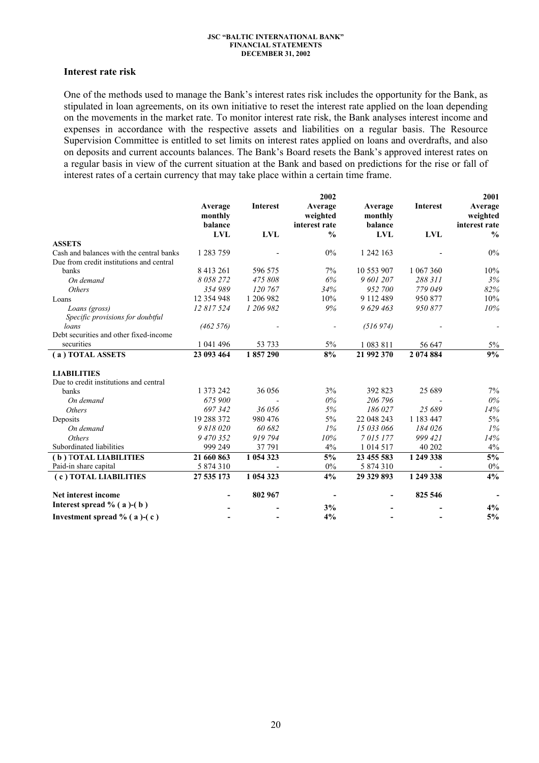### **Interest rate risk**

One of the methods used to manage the Bank's interest rates risk includes the opportunity for the Bank, as stipulated in loan agreements, on its own initiative to reset the interest rate applied on the loan depending on the movements in the market rate. To monitor interest rate risk, the Bank analyses interest income and expenses in accordance with the respective assets and liabilities on a regular basis. The Resource Supervision Committee is entitled to set limits on interest rates applied on loans and overdrafts, and also on deposits and current accounts balances. The Bank's Board resets the Bank's approved interest rates on a regular basis in view of the current situation at the Bank and based on predictions for the rise or fall of interest rates of a certain currency that may take place within a certain time frame.

|                                          |              |                 | 2002          |               |                 | 2001                     |
|------------------------------------------|--------------|-----------------|---------------|---------------|-----------------|--------------------------|
|                                          | Average      | <b>Interest</b> | Average       | Average       | <b>Interest</b> | Average                  |
|                                          | monthly      |                 | weighted      | monthly       |                 | weighted                 |
|                                          | balance      |                 | interest rate | balance       |                 | interest rate            |
|                                          | <b>LVL</b>   | <b>LVL</b>      | $\frac{0}{0}$ | <b>LVL</b>    | <b>LVL</b>      | $\frac{0}{0}$            |
| <b>ASSETS</b>                            |              |                 |               |               |                 |                          |
| Cash and balances with the central banks | 1 283 759    |                 | $0\%$         | 1 242 163     |                 | 0%                       |
| Due from credit institutions and central |              |                 |               |               |                 |                          |
| banks                                    | 8 4 13 2 6 1 | 596 575         | 7%            | 10 553 907    | 1 067 360       | 10%                      |
| On demand                                | 8 058 272    | 475 808         | 6%            | 9 601 207     | 288 311         | 3%                       |
| <b>Others</b>                            | 354989       | 120 767         | 34%           | 952 700       | 779 049         | 82%                      |
| Loans                                    | 12 354 948   | 1 206 982       | 10%           | 9 112 489     | 950 877         | 10%                      |
| Loans (gross)                            | 12 817 524   | 1 206 982       | 9%            | 9 629 463     | 950 877         | 10%                      |
| Specific provisions for doubtful         |              |                 |               |               |                 |                          |
| loans                                    | (462 576)    |                 |               | (516974)      |                 |                          |
| Debt securities and other fixed-income   |              |                 |               |               |                 |                          |
| securities                               | 1 041 496    | 53 733          | 5%            | 1 083 811     | 56 647          | $5\%$                    |
| (a) TOTAL ASSETS                         | 23 093 464   | 1857290         | 8%            | 21 992 370    | 2 074 884       | 9%                       |
| <b>LIABILITIES</b>                       |              |                 |               |               |                 |                          |
| Due to credit institutions and central   |              |                 |               |               |                 |                          |
| banks                                    | 1 373 242    | 36 056          | 3%            | 392 823       | 25 689          | $7\%$                    |
| On demand                                | 675 900      |                 | $0\%$         | 206 796       |                 | $0\%$                    |
| <i>Others</i>                            | 697342       | 36 056          | 5%            | 186 027       | 25 689          | 14%                      |
| Deposits                                 | 19 288 372   | 980 476         | $5\%$         | 22 048 243    | 1 183 447       | $5\%$                    |
| On demand                                | 9 818 020    | 60 682          | $1\%$         | 15 033 066    | 184 026         | $1\%$                    |
| <b>Others</b>                            | 9 470 352    | 919 794         | 10%           | 7015177       | 999 421         | 14%                      |
| Subordinated liabilities                 | 999 249      | 37 791          | 4%            | 1 0 1 4 5 1 7 | 40 202          | $4\%$                    |
| (b) TOTAL LIABILITIES                    | 21 660 863   | 1 054 323       | 5%            | 23 455 583    | 1 249 338       | 5%                       |
| Paid-in share capital                    | 5 874 310    |                 | $0\%$         | 5 874 310     |                 | $0\%$                    |
| (c) TOTAL LIABILITIES                    | 27 535 173   | 1 054 323       | 4%            | 29 329 893    | 1 249 338       | 4%                       |
| Net interest income                      |              | 802 967         |               |               | 825 546         | $\overline{\phantom{a}}$ |
| Interest spread $% (a)-(b)$              |              |                 | 3%            |               |                 | 4%                       |
| Investment spread $\%$ (a)-(c)           |              |                 | 4%            |               |                 | 5%                       |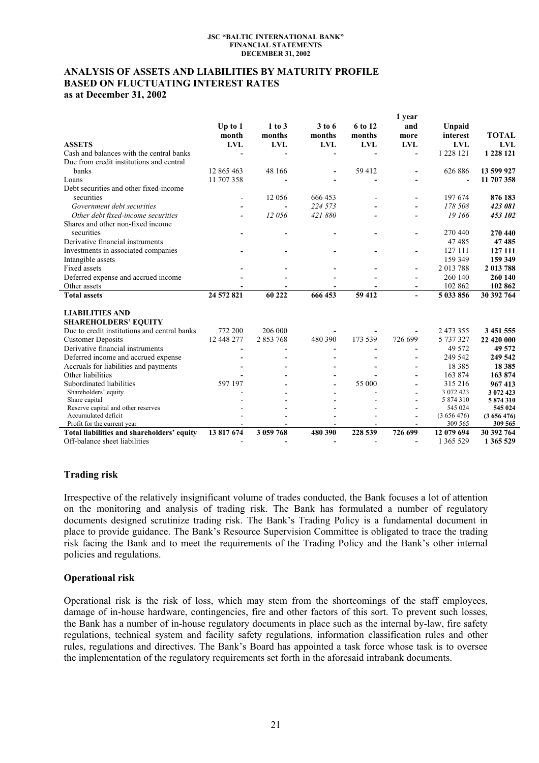# **ANALYSIS OF ASSETS AND LIABILITIES BY MATURITY PROFILE BASED ON FLUCTUATING INTEREST RATES as at December 31, 2002**

|                                                                             |                |            |            |                          | 1 year     |                      |                      |
|-----------------------------------------------------------------------------|----------------|------------|------------|--------------------------|------------|----------------------|----------------------|
|                                                                             | Up to $1$      | $1$ to $3$ | $3$ to 6   | 6 to 12                  | and        | Unpaid               |                      |
|                                                                             | month          | months     | months     | months                   | more       | interest             | <b>TOTAL</b>         |
| <b>ASSETS</b>                                                               | <b>LVL</b>     | <b>LVL</b> | <b>LVL</b> | <b>LVL</b>               | <b>LVL</b> | <b>LVL</b>           | <b>LVL</b>           |
| Cash and balances with the central banks                                    |                |            |            |                          |            | 1 228 121            | 1 228 121            |
| Due from credit institutions and central                                    |                |            |            |                          |            |                      |                      |
| banks                                                                       | 12 865 463     | 48 166     |            | 59 412                   |            | 626 886              | 13 599 927           |
| Loans                                                                       | 11 707 358     |            |            |                          |            |                      | 11 707 358           |
| Debt securities and other fixed-income                                      |                |            |            |                          |            |                      |                      |
| securities                                                                  | $\blacksquare$ | 12 0 56    | 666 453    |                          |            | 197 674              | 876 183              |
| Government debt securities                                                  |                |            | 224 573    |                          |            | 178 508              | 423 081              |
| Other debt fixed-income securities                                          |                | 12056      | 421880     |                          |            | 19 166               | 453 102              |
| Shares and other non-fixed income                                           |                |            |            |                          |            |                      |                      |
| securities                                                                  |                |            |            |                          |            | 270 440              | 270 440              |
| Derivative financial instruments                                            |                |            |            |                          |            | 47485                | 47485                |
| Investments in associated companies                                         |                |            |            |                          |            | 127 111              | 127 111              |
| Intangible assets                                                           |                |            |            |                          |            | 159 349              | 159 349              |
| Fixed assets                                                                |                |            |            |                          |            | 2013788              | 2 013 788            |
|                                                                             |                |            |            |                          |            | 260 140              | 260 140              |
| Deferred expense and accrued income                                         |                |            |            |                          |            |                      |                      |
| Other assets                                                                |                |            |            |                          |            | 102 862              | 102 862              |
| <b>Total assets</b>                                                         | 24 572 821     | 60 222     | 666 453    | 59 412                   |            | 5 033 856            | 30 392 764           |
| <b>LIABILITIES AND</b>                                                      |                |            |            |                          |            |                      |                      |
|                                                                             |                |            |            |                          |            |                      |                      |
| <b>SHAREHOLDERS' EQUITY</b>                                                 |                | 206 000    |            |                          |            |                      |                      |
| Due to credit institutions and central banks                                | 772 200        |            |            |                          |            | 2 473 355            | 3 451 555            |
| <b>Customer Deposits</b>                                                    | 12 448 277     | 2 853 768  | 480 390    | 173 539                  | 726 699    | 5 737 327            | 22 420 000           |
| Derivative financial instruments                                            |                |            |            |                          |            | 49 5 72              | 49 572               |
| Deferred income and accrued expense                                         |                |            |            |                          |            | 249 542              | 249 542              |
| Accruals for liabilities and payments                                       |                |            |            |                          |            | 18 3 8 5             | 18 3 8 5             |
| Other liabilities                                                           |                |            |            |                          |            | 163 874              | 163 874              |
| Subordinated liabilities                                                    | 597 197        |            |            | 55 000                   |            | 315 216              | 967413               |
| Shareholders' equity                                                        |                |            |            |                          |            | 3 072 423            | 3 072 423            |
| Share capital                                                               |                |            |            |                          |            | 5 874 310            | 5874310              |
| Reserve capital and other reserves                                          |                |            |            |                          |            | 545 024              | 545 024              |
| Accumulated deficit<br>Profit for the current year                          |                |            |            |                          |            | (3656476)<br>309 565 | (3656476)<br>309 565 |
|                                                                             | 13 817 674     | 3 059 768  | 480 390    | 228 539                  | 726 699    | 12 079 694           | 30 392 764           |
| Total liabilities and shareholders' equity<br>Off-balance sheet liabilities |                |            |            |                          |            | 1 365 529            |                      |
|                                                                             |                |            |            | $\overline{\phantom{0}}$ |            |                      | 1 365 529            |

## **Trading risk**

Irrespective of the relatively insignificant volume of trades conducted, the Bank focuses a lot of attention on the monitoring and analysis of trading risk. The Bank has formulated a number of regulatory documents designed scrutinize trading risk. The Bank's Trading Policy is a fundamental document in place to provide guidance. The Bank's Resource Supervision Committee is obligated to trace the trading risk facing the Bank and to meet the requirements of the Trading Policy and the Bank's other internal policies and regulations.

### **Operational risk**

Operational risk is the risk of loss, which may stem from the shortcomings of the staff employees, damage of in-house hardware, contingencies, fire and other factors of this sort. To prevent such losses, the Bank has a number of in-house regulatory documents in place such as the internal by-law, fire safety regulations, technical system and facility safety regulations, information classification rules and other rules, regulations and directives. The Bank's Board has appointed a task force whose task is to oversee the implementation of the regulatory requirements set forth in the aforesaid intrabank documents.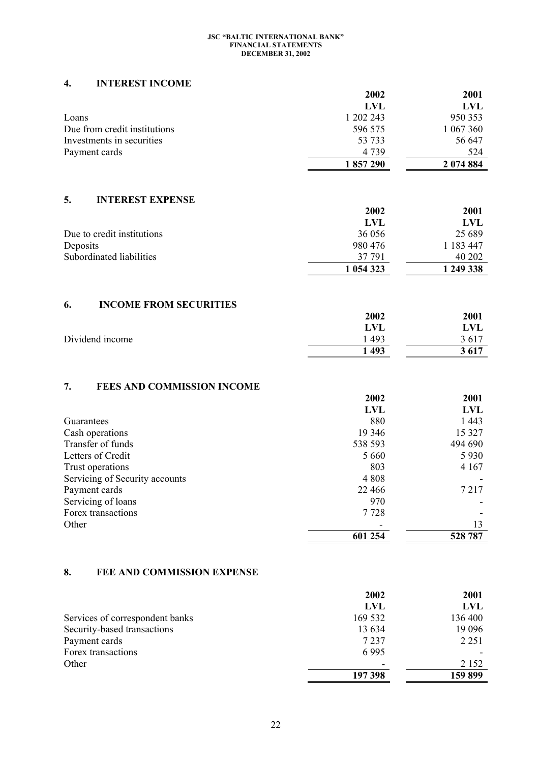# **4. INTEREST INCOME**

|                               | 2002      | 2001       |
|-------------------------------|-----------|------------|
|                               | LVL       | <b>LVL</b> |
| Loans                         | 1 202 243 | 950 353    |
| Due from credit institutions  | 596 575   | 1 067 360  |
| Investments in securities     | 53 733    | 56 647     |
| Payment cards                 | 4739      | 524        |
|                               | 1857290   | 2 074 884  |
|                               |           |            |
| 5.<br><b>INTEREST EXPENSE</b> |           |            |
|                               | 2002      | 2001       |
|                               | LVL       | <b>LVL</b> |
| Due to credit institutions    | 36 056    | 25 6 89    |
| Deposits                      | 980 476   | 1 183 447  |

|                          | 1 054 323  | 1 249 338          |
|--------------------------|------------|--------------------|
| Subordinated liabilities | 37 791     | 40 202             |
| DUPUSILS                 | $200 + 10$ | $110J$ $+$ $+$ $1$ |

# **6. INCOME FROM SECURITIES**

| 2002 | 2001 |
|------|------|
| LVL  | LVL  |
| 493  | 3617 |
| 1493 | 3617 |
|      |      |

# **7. FEES AND COMMISSION INCOME**

|                                | 2002       | 2001       |
|--------------------------------|------------|------------|
|                                | <b>LVL</b> | <b>LVL</b> |
| Guarantees                     | 880        | 1 4 4 3    |
| Cash operations                | 19 3 46    | 15 3 27    |
| Transfer of funds              | 538 593    | 494 690    |
| Letters of Credit              | 5 6 6 0    | 5 9 3 0    |
| Trust operations               | 803        | 4 1 6 7    |
| Servicing of Security accounts | 4 8 0 8    |            |
| Payment cards                  | 22 4 6 6   | 7 2 1 7    |
| Servicing of loans             | 970        |            |
| Forex transactions             | 7 7 2 8    |            |
| Other                          |            | 13         |
|                                | 601 254    | 528 787    |

# **8. FEE AND COMMISSION EXPENSE**

|                                 | 2002       | 2001    |
|---------------------------------|------------|---------|
|                                 | <b>LVL</b> | LVL     |
| Services of correspondent banks | 169 532    | 136 400 |
| Security-based transactions     | 13 634     | 19 0 96 |
| Payment cards                   | 7 2 3 7    | 2 2 5 1 |
| Forex transactions              | 6995       |         |
| Other                           |            | 2 1 5 2 |
|                                 | 197 398    | 159 899 |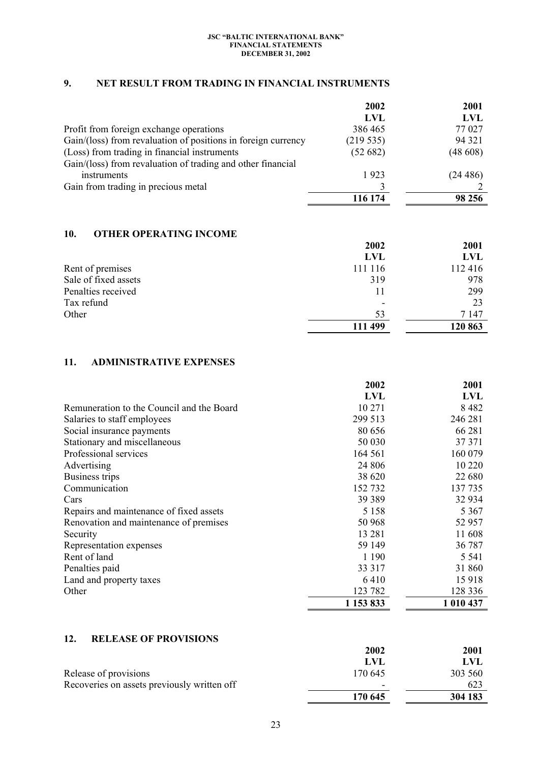# **9. NET RESULT FROM TRADING IN FINANCIAL INSTRUMENTS**

|                                                               | 2002     | 2001    |
|---------------------------------------------------------------|----------|---------|
|                                                               | LVL      | LVL     |
| Profit from foreign exchange operations                       | 386465   | 77 027  |
| Gain/(loss) from revaluation of positions in foreign currency | (219535) | 94 321  |
| (Loss) from trading in financial instruments                  | (52682)  | (48608) |
| Gain/(loss) from revaluation of trading and other financial   |          |         |
| instruments                                                   | 1923     | (24486) |
| Gain from trading in precious metal                           |          |         |
|                                                               | 116 174  | 98 25 6 |

# **10. OTHER OPERATING INCOME**

|                      | 2002       | 2001    |
|----------------------|------------|---------|
|                      | <b>LVL</b> | LVL     |
| Rent of premises     | 111 116    | 112 416 |
| Sale of fixed assets | 319        | 978     |
| Penalties received   | 11         | 299     |
| Tax refund           | ٠          | 23      |
| Other                | 53         | 7 147   |
|                      | 111 499    | 120 863 |

# **11. ADMINISTRATIVE EXPENSES**

|                                           | 2002      | 2001       |
|-------------------------------------------|-----------|------------|
|                                           | LVL       | <b>LVL</b> |
| Remuneration to the Council and the Board | 10 271    | 8 4 8 2    |
| Salaries to staff employees               | 299 513   | 246 281    |
| Social insurance payments                 | 80 656    | 66 281     |
| Stationary and miscellaneous              | 50 030    | 37 371     |
| Professional services                     | 164 561   | 160 079    |
| Advertising                               | 24 806    | 10 220     |
| Business trips                            | 38 620    | 22 680     |
| Communication                             | 152732    | 137 735    |
| Cars                                      | 39 3 89   | 32 934     |
| Repairs and maintenance of fixed assets   | 5 1 5 8   | 5 3 6 7    |
| Renovation and maintenance of premises    | 50 968    | 52 957     |
| Security                                  | 13 281    | 11608      |
| Representation expenses                   | 59 149    | 36 787     |
| Rent of land                              | 1 1 9 0   | 5 5 4 1    |
| Penalties paid                            | 33 317    | 31 860     |
| Land and property taxes                   | 6410      | 15918      |
| Other                                     | 123 782   | 128 336    |
|                                           | 1 153 833 | 1 010 437  |

### **12. RELEASE OF PROVISIONS**

|                                             | 2002                     | <b>2001</b> |
|---------------------------------------------|--------------------------|-------------|
|                                             | LVL                      | LVL         |
| Release of provisions                       | 170.645                  | 303 560     |
| Recoveries on assets previously written off | $\overline{\phantom{0}}$ | 623         |
|                                             | 170 645                  | 304 183     |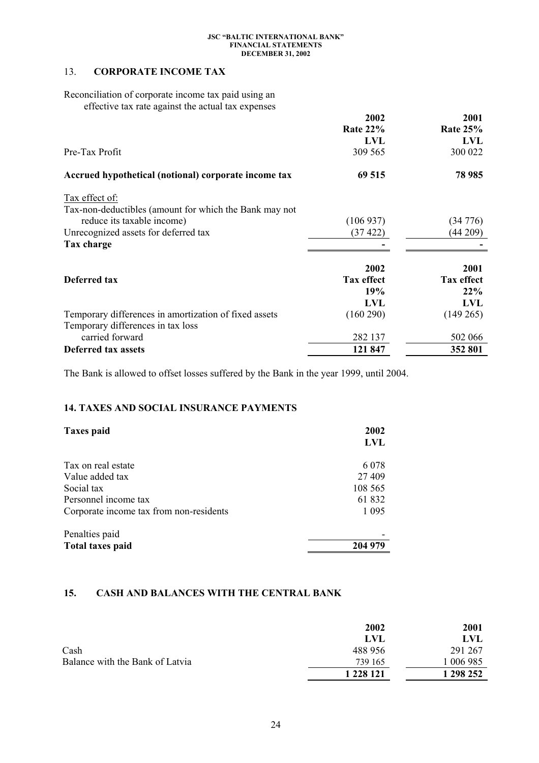# 13. **CORPORATE INCOME TAX**

Reconciliation of corporate income tax paid using an effective tax rate against the actual tax expenses

|                                                        | 2002              | 2001              |
|--------------------------------------------------------|-------------------|-------------------|
|                                                        | <b>Rate 22%</b>   | <b>Rate 25%</b>   |
|                                                        | LVL               | <b>LVL</b>        |
| Pre-Tax Profit                                         | 309 565           | 300 022           |
| Accrued hypothetical (notional) corporate income tax   | 69 515            | 78 985            |
| Tax effect of:                                         |                   |                   |
| Tax-non-deductibles (amount for which the Bank may not |                   |                   |
| reduce its taxable income)                             | (106937)          | (34776)           |
| Unrecognized assets for deferred tax                   | (37 422)          | (44209)           |
| Tax charge                                             |                   |                   |
|                                                        | 2002              | 2001              |
| Deferred tax                                           | <b>Tax effect</b> | <b>Tax effect</b> |
|                                                        | <b>19%</b>        | 22%               |
|                                                        | LVL               | LVL               |
| Temporary differences in amortization of fixed assets  | (160 290)         | $(149\,265)$      |
| Temporary differences in tax loss                      |                   |                   |
| carried forward                                        | 282 137           | 502 066           |
| Deferred tax assets                                    | 121 847           | 352 801           |

The Bank is allowed to offset losses suffered by the Bank in the year 1999, until 2004.

# **14. TAXES AND SOCIAL INSURANCE PAYMENTS**

| <b>Taxes paid</b>                       | 2002<br><b>LVL</b> |
|-----------------------------------------|--------------------|
| Tax on real estate                      | 6 0 7 8            |
| Value added tax                         | 27 409             |
| Social tax                              | 108 565            |
| Personnel income tax                    | 61 832             |
| Corporate income tax from non-residents | 1 0 9 5            |
| Penalties paid                          |                    |
| <b>Total taxes paid</b>                 | 204 979            |

# **15. CASH AND BALANCES WITH THE CENTRAL BANK**

|                                 | 2002          | 2001      |
|---------------------------------|---------------|-----------|
|                                 | LVL           | LVL       |
| Cash                            | 488 956       | 291 267   |
| Balance with the Bank of Latvia | 739 165       | 006985    |
|                                 | 1 2 2 8 1 2 1 | 1 298 252 |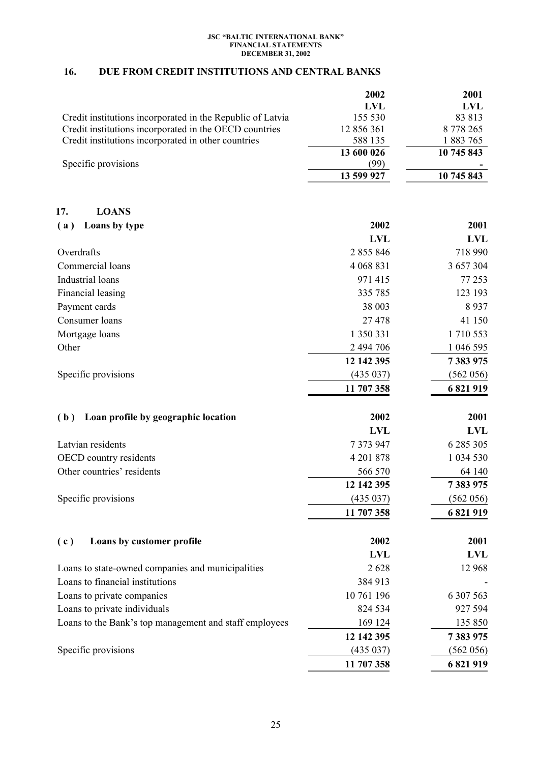# **16. DUE FROM CREDIT INSTITUTIONS AND CENTRAL BANKS**

|                                                            | 2002                  | 2001                  |
|------------------------------------------------------------|-----------------------|-----------------------|
|                                                            | <b>LVL</b>            | <b>LVL</b>            |
| Credit institutions incorporated in the Republic of Latvia | 155 530               | 83 813                |
| Credit institutions incorporated in the OECD countries     | 12 856 361            | 8778265               |
| Credit institutions incorporated in other countries        | 588 135<br>13 600 026 | 1883765<br>10 745 843 |
| Specific provisions                                        | (99)                  |                       |
|                                                            | 13 599 927            | 10 745 843            |
| <b>LOANS</b><br>17.                                        |                       |                       |
| Loans by type<br>(a)                                       | 2002                  | 2001                  |
|                                                            | <b>LVL</b>            | <b>LVL</b>            |
| Overdrafts                                                 | 2 855 846             | 718 990               |
| Commercial loans                                           | 4 068 831             | 3 657 304             |
| Industrial loans                                           | 971 415               | 77 253                |
| Financial leasing                                          | 335 785               | 123 193               |
| Payment cards                                              | 38 003                | 8937                  |
| Consumer loans                                             | 27 478                | 41 150                |
| Mortgage loans                                             | 1 350 331             | 1710553               |
| Other                                                      | 2 494 706             | 1 046 595             |
|                                                            | 12 142 395            | 7 383 975             |
| Specific provisions                                        | (435 037)             | (562 056)             |
|                                                            | 11 707 358            | 6821919               |
| Loan profile by geographic location<br>(b)                 | 2002                  | 2001                  |
|                                                            | <b>LVL</b>            | <b>LVL</b>            |
| Latvian residents                                          | 7 373 947             | 6 285 305             |
| OECD country residents                                     | 4 201 878             | 1 034 530             |
| Other countries' residents                                 | 566 570               | 64 140                |
|                                                            | 12 142 395            | 7 383 975             |
| Specific provisions                                        | (435 037)             | (562 056)             |
|                                                            | 11 707 358            | 6821919               |
| Loans by customer profile<br>(c)                           | 2002                  | 2001                  |
|                                                            | <b>LVL</b>            | <b>LVL</b>            |
| Loans to state-owned companies and municipalities          | 2628                  | 12 968                |
| Loans to financial institutions                            | 384 913               |                       |
| Loans to private companies                                 | 10 761 196            | 6 307 563             |
| Loans to private individuals                               | 824 534               | 927 594               |
| Loans to the Bank's top management and staff employees     | 169 124               | 135 850               |
|                                                            | 12 142 395            | 7 383 975             |
| Specific provisions                                        | (435 037)             | (562 056)             |
|                                                            | 11 707 358            | 6 821 919             |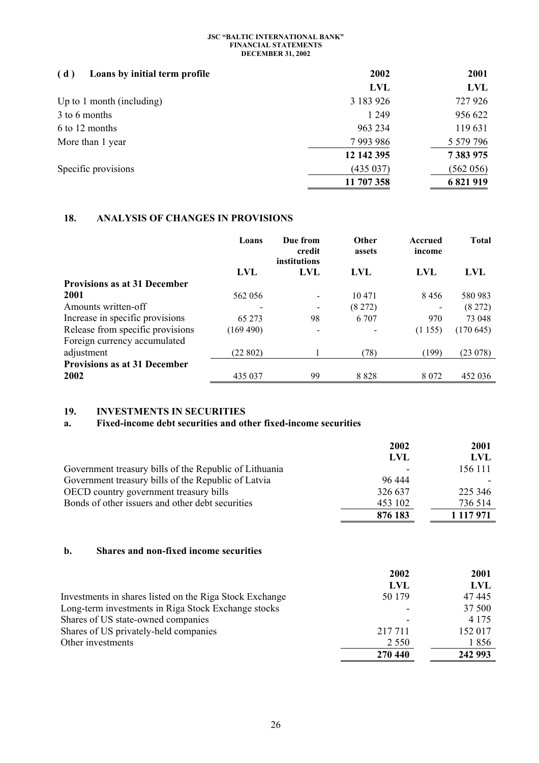| Loans by initial term profile<br>(d) | 2002       | 2001          |
|--------------------------------------|------------|---------------|
|                                      | <b>LVL</b> | <b>LVL</b>    |
| Up to 1 month (including)            | 3 183 926  | 727 926       |
| 3 to 6 months                        | 1 2 4 9    | 956 622       |
| 6 to 12 months                       | 963 234    | 119631        |
| More than 1 year                     | 7993986    | 5 5 7 9 7 9 6 |
|                                      | 12 142 395 | 7 383 975     |
| Specific provisions                  | (435037)   | (562 056)     |
|                                      | 11 707 358 | 6 821 919     |

# **18. ANALYSIS OF CHANGES IN PROVISIONS**

|                                     | Loans      | Due from<br>credit<br>institutions | Other<br>assets | Accrued<br>income | <b>Total</b> |
|-------------------------------------|------------|------------------------------------|-----------------|-------------------|--------------|
|                                     | <b>LVL</b> | LVL                                | <b>LVL</b>      | <b>LVL</b>        | <b>LVL</b>   |
| <b>Provisions as at 31 December</b> |            |                                    |                 |                   |              |
| 2001                                | 562 056    | $\qquad \qquad \blacksquare$       | 10471           | 8456              | 580 983      |
| Amounts written-off                 |            | $\qquad \qquad \blacksquare$       | (8272)          | -                 | (8272)       |
| Increase in specific provisions     | 65 273     | 98                                 | 6 707           | 970               | 73 048       |
| Release from specific provisions    | (169 490)  | $\overline{\phantom{a}}$           |                 | (1155)            | (170645)     |
| Foreign currency accumulated        |            |                                    |                 |                   |              |
| adjustment                          | (22802)    |                                    | (78)            | (199)             | (23078)      |
| <b>Provisions as at 31 December</b> |            |                                    |                 |                   |              |
| 2002                                | 435 037    | 99                                 | 8828            | 8 0 7 2           | 452 036      |

# **19. INVESTMENTS IN SECURITIES**

# **a. Fixed-income debt securities and other fixed-income securities**

|                                                        | 2002    | 2001          |
|--------------------------------------------------------|---------|---------------|
|                                                        | LVL     | LVL           |
| Government treasury bills of the Republic of Lithuania |         | 156 111       |
| Government treasury bills of the Republic of Latvia    | 96 444  |               |
| OECD country government treasury bills                 | 326 637 | 225 346       |
| Bonds of other issuers and other debt securities       | 453 102 | 736 514       |
|                                                        | 876 183 | 1 1 1 7 9 7 1 |

# **b. Shares and non-fixed income securities**

|                                                         | 2002    | 2001    |
|---------------------------------------------------------|---------|---------|
|                                                         | LVL     | LVL     |
| Investments in shares listed on the Riga Stock Exchange | 50 179  | 47445   |
| Long-term investments in Riga Stock Exchange stocks     |         | 37 500  |
| Shares of US state-owned companies                      |         | 4 1 7 5 |
| Shares of US privately-held companies                   | 217 711 | 152 017 |
| Other investments                                       | 2 5 5 0 | 1856    |
|                                                         | 270 440 | 242 993 |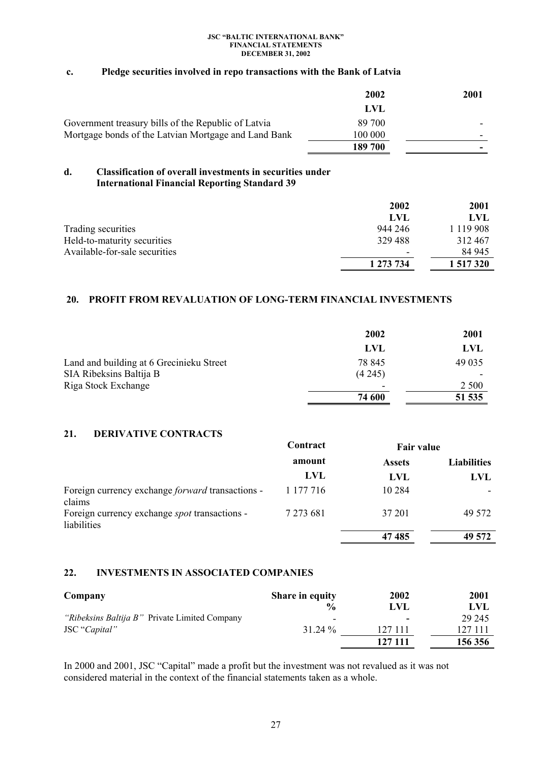### **c. Pledge securities involved in repo transactions with the Bank of Latvia**

|                                                      | 2002    | 2001 |
|------------------------------------------------------|---------|------|
|                                                      | LVL     |      |
| Government treasury bills of the Republic of Latvia  | 89 700  |      |
| Mortgage bonds of the Latvian Mortgage and Land Bank | 100 000 |      |
|                                                      | 189 700 |      |

### **d. Classification of overall investments in securities under International Financial Reporting Standard 39**

|                               | 2002                     | 2001          |
|-------------------------------|--------------------------|---------------|
|                               | LVL                      | LVL           |
| Trading securities            | 944 246                  | 1 1 1 9 9 0 8 |
| Held-to-maturity securities   | 329488                   | 312467        |
| Available-for-sale securities | $\overline{\phantom{0}}$ | 84 945        |
|                               | 1 273 734                | 1 517 320     |

# **20. PROFIT FROM REVALUATION OF LONG-TERM FINANCIAL INVESTMENTS**

|                                          | 2002   | 2001    |
|------------------------------------------|--------|---------|
|                                          | LVL    | LVL     |
| Land and building at 6 Grecinieku Street | 78 845 | 49 0 35 |
| SIA Ribeksins Baltija B                  | (4245) |         |
| Riga Stock Exchange                      | ۰      | 2 5 0 0 |
|                                          | 74 600 | 51 535  |

# **21. DERIVATIVE CONTRACTS**

|                                                                     | Contract  | <b>Fair value</b> |                    |
|---------------------------------------------------------------------|-----------|-------------------|--------------------|
|                                                                     | amount    | <b>Assets</b>     | <b>Liabilities</b> |
|                                                                     | LVL       | LVL               | LVL                |
| Foreign currency exchange forward transactions -<br>claims          | 1 177 716 | 10 2 8 4          |                    |
| Foreign currency exchange <i>spot</i> transactions -<br>liabilities | 7 273 681 | 37 201            | 49 572             |
|                                                                     |           | 47485             | 49 572             |

### **22. INVESTMENTS IN ASSOCIATED COMPANIES**

| Company                                       | Share in equity | 2002    | 2001    |
|-----------------------------------------------|-----------------|---------|---------|
|                                               | $\frac{0}{0}$   | LVL     | LVL     |
| "Ribeksins Baltija B" Private Limited Company | -               |         | 29 245  |
| JSC "Capital"                                 | 31.24 %         | 127 111 | 127 111 |
|                                               |                 | 127 111 | 156 356 |

In 2000 and 2001, JSC "Capital" made a profit but the investment was not revalued as it was not considered material in the context of the financial statements taken as a whole.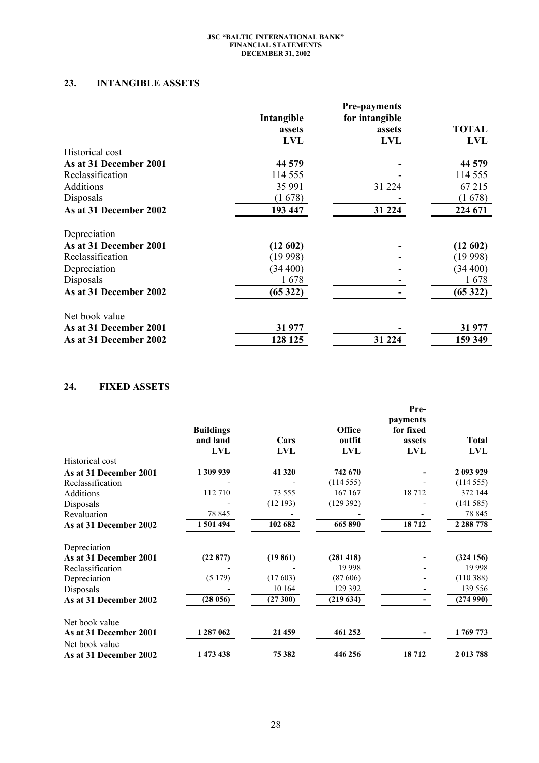# **23. INTANGIBLE ASSETS**

|                        |            | <b>Pre-payments</b> |              |
|------------------------|------------|---------------------|--------------|
|                        | Intangible | for intangible      |              |
|                        | assets     | assets              | <b>TOTAL</b> |
|                        | <b>LVL</b> | <b>LVL</b>          | <b>LVL</b>   |
| Historical cost        |            |                     |              |
| As at 31 December 2001 | 44 579     |                     | 44 579       |
| Reclassification       | 114 555    |                     | 114 555      |
| <b>Additions</b>       | 35 991     | 31 224              | 67 215       |
| Disposals              | (1678)     |                     | (1678)       |
| As at 31 December 2002 | 193 447    | 31 224              | 224 671      |
| Depreciation           |            |                     |              |
| As at 31 December 2001 | (12602)    |                     | (12602)      |
| Reclassification       | (19998)    |                     | (19998)      |
| Depreciation           | (34 400)   |                     | (34 400)     |
| Disposals              | 1678       |                     | 1678         |
| As at 31 December 2002 | (65322)    |                     | (65322)      |
| Net book value         |            |                     |              |
| As at 31 December 2001 | 31 977     |                     | 31 977       |
| As at 31 December 2002 | 128 125    | 31 224              | 159 349      |

# **24. FIXED ASSETS**

|                        | <b>Buildings</b><br>and land<br><b>LVL</b> | Cars<br><b>LVL</b> | Office<br>outfit<br><b>LVL</b> | Pre-<br>payments<br>for fixed<br>assets<br><b>LVL</b> | <b>Total</b><br><b>LVL</b> |
|------------------------|--------------------------------------------|--------------------|--------------------------------|-------------------------------------------------------|----------------------------|
| Historical cost        |                                            |                    |                                |                                                       |                            |
| As at 31 December 2001 | 1 309 939                                  | 41 320             | 742 670                        |                                                       | 2 093 929                  |
| Reclassification       |                                            |                    | (114555)                       |                                                       | (114555)                   |
| Additions              | 112 710                                    | 73 555             | 167 167                        | 18712                                                 | 372 144                    |
| Disposals              |                                            | (12193)            | (129 392)                      |                                                       | (141585)                   |
| Revaluation            | 78 845                                     |                    |                                |                                                       | 78 845                     |
| As at 31 December 2002 | 1 501 494                                  | 102 682            | 665 890                        | 18712                                                 | 2 2 8 7 7 8                |
| Depreciation           |                                            |                    |                                |                                                       |                            |
| As at 31 December 2001 | (22877)                                    | (19861)            | (281 418)                      |                                                       | (324156)                   |
| Reclassification       |                                            |                    | 19 9 98                        |                                                       | 19 9 98                    |
| Depreciation           | (5179)                                     | (17603)            | (87606)                        |                                                       | (110388)                   |
| Disposals              |                                            | 10 164             | 129 392                        |                                                       | 139 556                    |
| As at 31 December 2002 | (28056)                                    | (27300)            | (219634)                       |                                                       | (274990)                   |
| Net book value         |                                            |                    |                                |                                                       |                            |
| As at 31 December 2001 | 1 287 062                                  | 21 459             | 461 252                        |                                                       | 1769773                    |
| Net book value         |                                            |                    |                                |                                                       |                            |
| As at 31 December 2002 | 1 473 438                                  | 75 382             | 446 256                        | 18712                                                 | 2 013 788                  |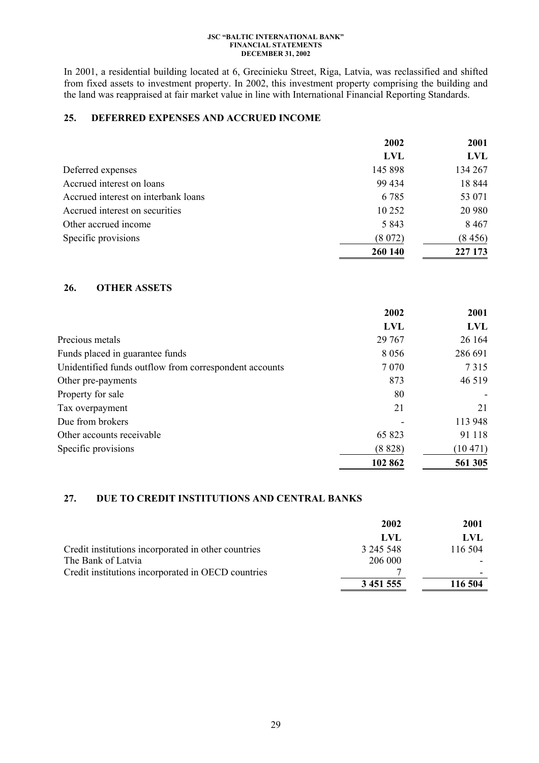In 2001, a residential building located at 6, Grecinieku Street, Riga, Latvia, was reclassified and shifted from fixed assets to investment property. In 2002, this investment property comprising the building and the land was reappraised at fair market value in line with International Financial Reporting Standards.

# **25. DEFERRED EXPENSES AND ACCRUED INCOME**

|                                     | 2002       | 2001       |
|-------------------------------------|------------|------------|
|                                     | <b>LVL</b> | <b>LVL</b> |
| Deferred expenses                   | 145 898    | 134 267    |
| Accrued interest on loans           | 99 434     | 18 844     |
| Accrued interest on interbank loans | 6 7 8 5    | 53 071     |
| Accrued interest on securities      | 10 25 2    | 20 980     |
| Other accrued income                | 5 8 4 3    | 8 4 6 7    |
| Specific provisions                 | (8072)     | (8456)     |
|                                     | 260 140    | 227 173    |

# **26. OTHER ASSETS**

|                                                        | 2002       | 2001    |
|--------------------------------------------------------|------------|---------|
|                                                        | <b>LVL</b> | LVL     |
| Precious metals                                        | 29 767     | 26 164  |
| Funds placed in guarantee funds                        | 8 0 5 6    | 286 691 |
| Unidentified funds outflow from correspondent accounts | 7 0 7 0    | 7315    |
| Other pre-payments                                     | 873        | 46 519  |
| Property for sale                                      | 80         |         |
| Tax overpayment                                        | 21         | 21      |
| Due from brokers                                       |            | 113 948 |
| Other accounts receivable                              | 65 823     | 91 118  |
| Specific provisions                                    | (8828)     | (10471) |
|                                                        | 102 862    | 561 305 |

# **27. DUE TO CREDIT INSTITUTIONS AND CENTRAL BANKS**

|                                                     | 2002          | 2001    |
|-----------------------------------------------------|---------------|---------|
|                                                     | LVL           | LVL     |
| Credit institutions incorporated in other countries | 3 245 548     | 116 504 |
| The Bank of Latvia                                  | 206 000       |         |
| Credit institutions incorporated in OECD countries  |               |         |
|                                                     | 3 4 5 1 5 5 5 | 116 504 |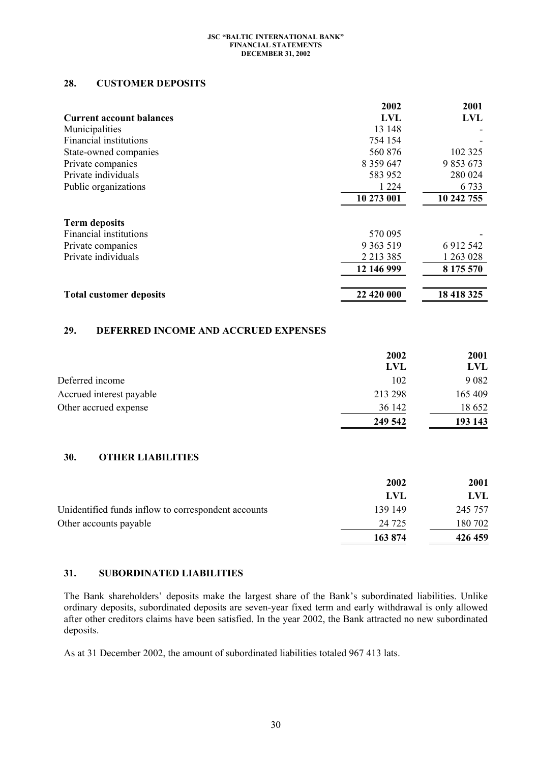# **28. CUSTOMER DEPOSITS**

|                                             | 2002          | 2001        |
|---------------------------------------------|---------------|-------------|
| <b>Current account balances</b>             | <b>LVL</b>    | <b>LVL</b>  |
| Municipalities                              | 13 148        |             |
| <b>Financial institutions</b>               | 754 154       |             |
| State-owned companies                       | 560 876       | 102 325     |
| Private companies                           | 8 3 5 9 6 4 7 | 9 853 673   |
| Private individuals                         | 583 952       | 280 024     |
| Public organizations                        | 1 2 2 4       | 6733        |
|                                             | 10 273 001    | 10 242 755  |
|                                             |               |             |
| <b>Term deposits</b>                        |               |             |
| Financial institutions                      | 570 095       |             |
| Private companies                           | 9 3 63 5 19   | 6 9 12 5 42 |
| Private individuals                         | 2 2 1 3 3 8 5 | 1 263 028   |
|                                             | 12 146 999    | 8 175 570   |
| <b>Total customer deposits</b>              | 22 420 000    | 18 418 325  |
|                                             |               |             |
| 29.<br>DEFERRED INCOME AND ACCRUED EXPENSES |               |             |
|                                             | 2002          | 2001        |
|                                             | <b>LVL</b>    | <b>LVL</b>  |
| Deferred income                             | 102           | 9.082       |

|                          | 249 542 | 193 143     |
|--------------------------|---------|-------------|
| Other accrued expense    | 36 142  | 18 652      |
| Accrued interest payable | 213 298 | 165 409     |
| DURILU IIIUUIIIU         | 11L     | $200\angle$ |

# **30. OTHER LIABILITIES**

|                                                     | 2002    | <b>2001</b> |
|-----------------------------------------------------|---------|-------------|
|                                                     | LVL     | LVL         |
| Unidentified funds inflow to correspondent accounts | 139 149 | 245 757     |
| Other accounts payable                              | 24 7 25 | 180 702     |
|                                                     | 163 874 | 426 459     |

# **31. SUBORDINATED LIABILITIES**

The Bank shareholders' deposits make the largest share of the Bank's subordinated liabilities. Unlike ordinary deposits, subordinated deposits are seven-year fixed term and early withdrawal is only allowed after other creditors claims have been satisfied. In the year 2002, the Bank attracted no new subordinated deposits.

As at 31 December 2002, the amount of subordinated liabilities totaled 967 413 lats.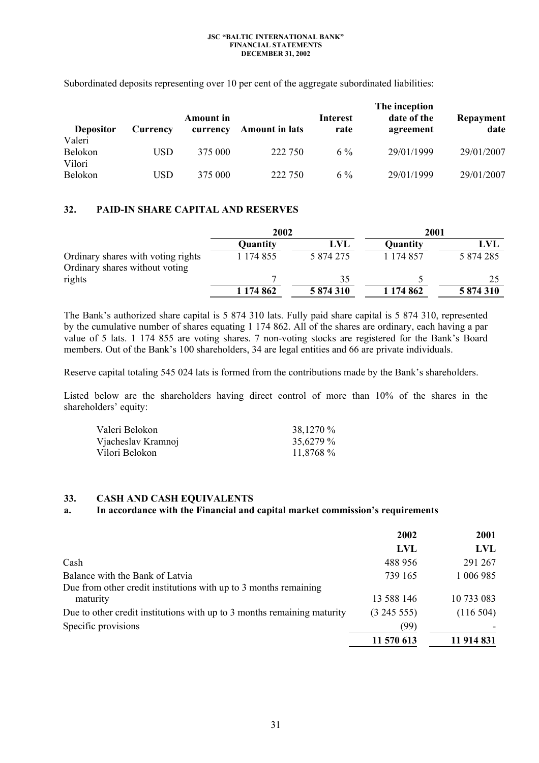|                             |          |                              |                       |                         | The inception            |                   |
|-----------------------------|----------|------------------------------|-----------------------|-------------------------|--------------------------|-------------------|
| <b>Depositor</b>            | Currency | <b>Amount</b> in<br>currency | <b>Amount in lats</b> | <b>Interest</b><br>rate | date of the<br>agreement | Repayment<br>date |
| Valeri<br>Belokon<br>Vilori | USD      | 375 000                      | 222 750               | $6\%$                   | 29/01/1999               | 29/01/2007        |
| Belokon                     | USD      | 375 000                      | 222 750               | $6\%$                   | 29/01/1999               | 29/01/2007        |

Subordinated deposits representing over 10 per cent of the aggregate subordinated liabilities:

# **32. PAID-IN SHARE CAPITAL AND RESERVES**

|                                                                      | 2002      |           | 2001      |           |
|----------------------------------------------------------------------|-----------|-----------|-----------|-----------|
|                                                                      | Quantity  | LVL       | Quantity  | LVL       |
| Ordinary shares with voting rights<br>Ordinary shares without voting | 1 174 855 | 5 874 275 | 1 174 857 | 5 874 285 |
| rights                                                               |           | 35        |           |           |
|                                                                      | 1 174 862 | 5 874 310 | 1 174 862 | 5 874 310 |

The Bank's authorized share capital is 5 874 310 lats. Fully paid share capital is 5 874 310, represented by the cumulative number of shares equating 1 174 862. All of the shares are ordinary, each having a par value of 5 lats. 1 174 855 are voting shares. 7 non-voting stocks are registered for the Bank's Board members. Out of the Bank's 100 shareholders, 34 are legal entities and 66 are private individuals.

Reserve capital totaling 545 024 lats is formed from the contributions made by the Bank's shareholders.

Listed below are the shareholders having direct control of more than 10% of the shares in the shareholders' equity:

| Valeri Belokon     | 38,1270 % |
|--------------------|-----------|
| Vjacheslav Kramnoj | 35,6279 % |
| Vilori Belokon     | 11,8768 % |

### **33. CASH AND CASH EQUIVALENTS**

# **a. In accordance with the Financial and capital market commission's requirements**

|                                                                         | 2002       | 2001       |
|-------------------------------------------------------------------------|------------|------------|
|                                                                         | LVL        | LVL.       |
| Cash                                                                    | 488 956    | 291 267    |
| Balance with the Bank of Latvia                                         | 739 165    | 1 006 985  |
| Due from other credit institutions with up to 3 months remaining        |            |            |
| maturity                                                                | 13 588 146 | 10 733 083 |
| Due to other credit institutions with up to 3 months remaining maturity | (324555)   | (116504)   |
| Specific provisions                                                     | (99)       |            |
|                                                                         | 11 570 613 | 11 914 831 |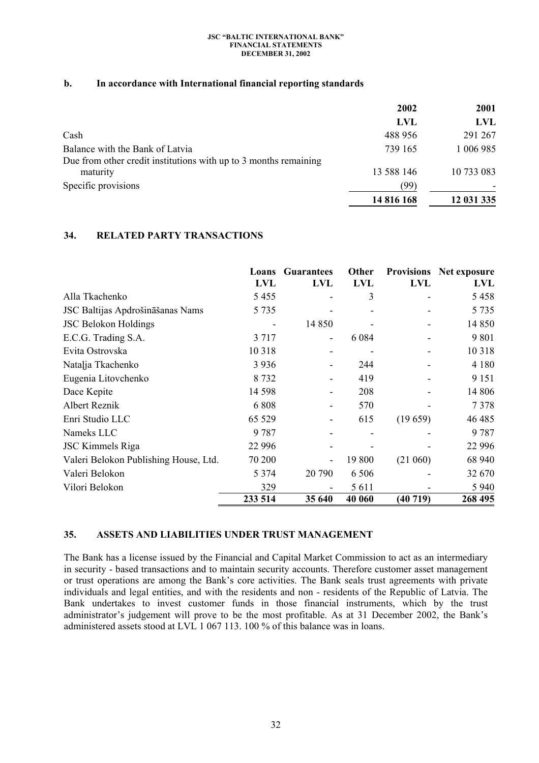# **b. In accordance with International financial reporting standards**

|                                                                  | 2002       | 2001       |
|------------------------------------------------------------------|------------|------------|
|                                                                  | <b>LVL</b> | LVL        |
| Cash                                                             | 488 956    | 291 267    |
| Balance with the Bank of Latvia                                  | 739 165    | 1 006 985  |
| Due from other credit institutions with up to 3 months remaining |            |            |
| maturity                                                         | 13 588 146 | 10 733 083 |
| Specific provisions                                              | (99)       |            |
|                                                                  | 14 816 168 | 12 031 335 |

# **34. RELATED PARTY TRANSACTIONS**

|                                       | Loans      | <b>Guarantees</b>        | Other      | <b>Provisions</b> | Net exposure |
|---------------------------------------|------------|--------------------------|------------|-------------------|--------------|
|                                       | <b>LVL</b> | LVL                      | <b>LVL</b> | <b>LVL</b>        | LVL          |
| Alla Tkachenko                        | 5455       |                          | 3          |                   | 5458         |
| JSC Baltijas Apdrošināšanas Nams      | 5 7 3 5    |                          |            |                   | 5 7 3 5      |
| <b>JSC Belokon Holdings</b>           | -          | 14 850                   |            |                   | 14 850       |
| E.C.G. Trading S.A.                   | 3 7 1 7    | -                        | 6 0 8 4    |                   | 9 8 0 1      |
| Evita Ostrovska                       | 10 3 18    | $\overline{\phantom{a}}$ |            |                   | 10 3 18      |
| Natalja Tkachenko                     | 3 9 3 6    |                          | 244        |                   | 4 1 8 0      |
| Eugenia Litovchenko                   | 8 7 3 2    | $\overline{\phantom{a}}$ | 419        |                   | 9 1 5 1      |
| Dace Kepite                           | 14 5 98    |                          | 208        |                   | 14 806       |
| Albert Reznik                         | 6808       |                          | 570        |                   | 7378         |
| Enri Studio LLC                       | 65 5 29    | $\overline{\phantom{a}}$ | 615        | (19659)           | 46 4 85      |
| Nameks LLC                            | 9 7 8 7    |                          |            |                   | 9787         |
| <b>JSC Kimmels Riga</b>               | 22 9 9 6   |                          |            |                   | 22 9 9 6     |
| Valeri Belokon Publishing House, Ltd. | 70 200     |                          | 19 800     | (21 060)          | 68 940       |
| Valeri Belokon                        | 5 3 7 4    | 20 790                   | 6 5 0 6    |                   | 32 670       |
| Vilori Belokon                        | 329        |                          | 5 6 1 1    |                   | 5 9 4 0      |
|                                       | 233 514    | 35 640                   | 40 060     | (40719)           | 268 495      |

# **35. ASSETS AND LIABILITIES UNDER TRUST MANAGEMENT**

The Bank has a license issued by the Financial and Capital Market Commission to act as an intermediary in security - based transactions and to maintain security accounts. Therefore customer asset management or trust operations are among the Bank's core activities. The Bank seals trust agreements with private individuals and legal entities, and with the residents and non - residents of the Republic of Latvia. The Bank undertakes to invest customer funds in those financial instruments, which by the trust administrator's judgement will prove to be the most profitable. As at 31 December 2002, the Bank's administered assets stood at LVL 1 067 113. 100 % of this balance was in loans.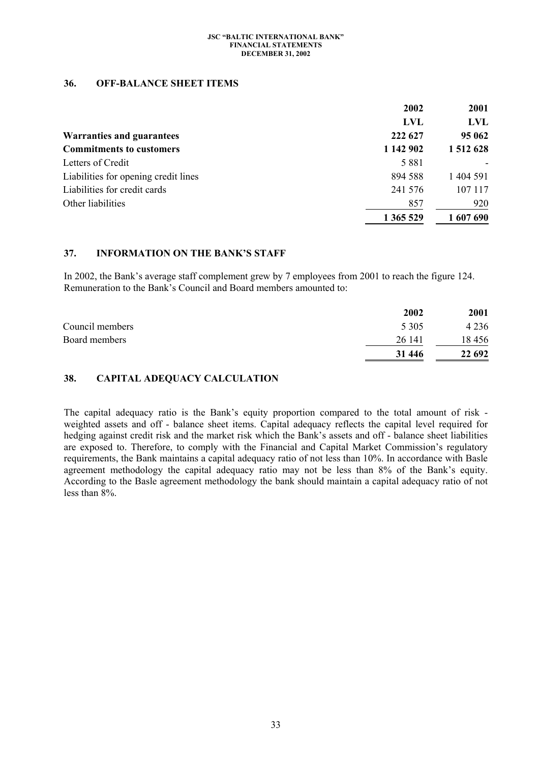### **36. OFF-BALANCE SHEET ITEMS**

|                                      | 2002      | 2001      |
|--------------------------------------|-----------|-----------|
|                                      | LVL       | LVL       |
| <b>Warranties and guarantees</b>     | 222 627   | 95 062    |
| <b>Commitments to customers</b>      | 1 142 902 | 1 512 628 |
| Letters of Credit                    | 5 8 8 1   |           |
| Liabilities for opening credit lines | 894 588   | 1 404 591 |
| Liabilities for credit cards         | 241 576   | 107 117   |
| Other liabilities                    | 857       | 920       |
|                                      | 1 365 529 | 1 607 690 |

# **37. INFORMATION ON THE BANK'S STAFF**

In 2002, the Bank's average staff complement grew by 7 employees from 2001 to reach the figure 124. Remuneration to the Bank's Council and Board members amounted to:

|                 | 2002    | 2001    |
|-----------------|---------|---------|
| Council members | 5 3 0 5 | 4 2 3 6 |
| Board members   | 26 141  | 18456   |
|                 | 31 446  | 22 692  |

# **38. CAPITAL ADEQUACY CALCULATION**

The capital adequacy ratio is the Bank's equity proportion compared to the total amount of risk weighted assets and off - balance sheet items. Capital adequacy reflects the capital level required for hedging against credit risk and the market risk which the Bank's assets and off - balance sheet liabilities are exposed to. Therefore, to comply with the Financial and Capital Market Commission's regulatory requirements, the Bank maintains a capital adequacy ratio of not less than 10%. In accordance with Basle agreement methodology the capital adequacy ratio may not be less than 8% of the Bank's equity. According to the Basle agreement methodology the bank should maintain a capital adequacy ratio of not less than 8%.